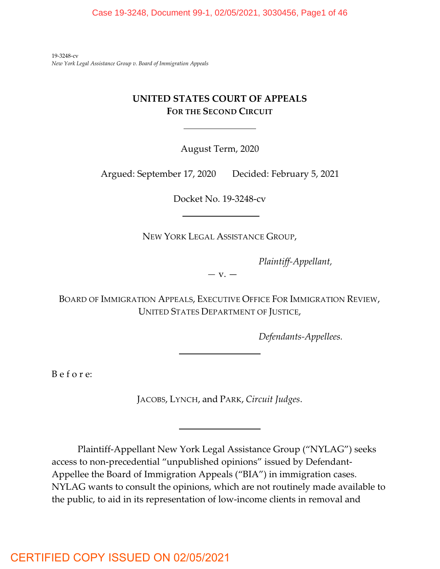19-3248-cv *New York Legal Assistance Group v. Board of Immigration Appeals*

## **UNITED STATES COURT OF APPEALS FOR THE SECOND CIRCUIT**

August Term, 2020

Argued: September 17, 2020 Decided: February 5, 2021

Docket No. 19-3248-cv

NEW YORK LEGAL ASSISTANCE GROUP,

*Plaintiff-Appellant,*

*—* v. —

BOARD OF IMMIGRATION APPEALS, EXECUTIVE OFFICE FOR IMMIGRATION REVIEW, UNITED STATES DEPARTMENT OF JUSTICE,

*Defendants-Appellees.*

B e f o r e:

JACOBS, LYNCH, and PARK, *Circuit Judges*.

Plaintiff-Appellant New York Legal Assistance Group ("NYLAG") seeks access to non-precedential "unpublished opinions" issued by Defendant-Appellee the Board of Immigration Appeals ("BIA") in immigration cases. NYLAG wants to consult the opinions, which are not routinely made available to the public, to aid in its representation of low-income clients in removal and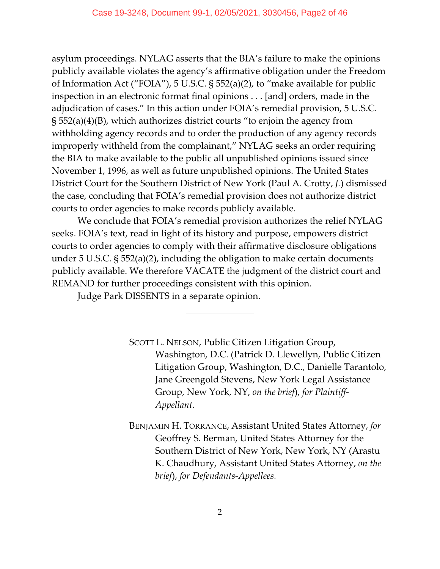asylum proceedings. NYLAG asserts that the BIA's failure to make the opinions publicly available violates the agency's affirmative obligation under the Freedom of Information Act ("FOIA"), 5 U.S.C. § 552(a)(2), to "make available for public inspection in an electronic format final opinions . . . [and] orders, made in the adjudication of cases." In this action under FOIA's remedial provision, 5 U.S.C. § 552(a)(4)(B), which authorizes district courts "to enjoin the agency from withholding agency records and to order the production of any agency records improperly withheld from the complainant," NYLAG seeks an order requiring the BIA to make available to the public all unpublished opinions issued since November 1, 1996, as well as future unpublished opinions. The United States District Court for the Southern District of New York (Paul A. Crotty, *J.*) dismissed the case, concluding that FOIA's remedial provision does not authorize district courts to order agencies to make records publicly available.

We conclude that FOIA's remedial provision authorizes the relief NYLAG seeks. FOIA's text, read in light of its history and purpose, empowers district courts to order agencies to comply with their affirmative disclosure obligations under 5 U.S.C. § 552(a)(2), including the obligation to make certain documents publicly available. We therefore VACATE the judgment of the district court and REMAND for further proceedings consistent with this opinion.

Judge Park DISSENTS in a separate opinion.

 $\overline{a}$ 

SCOTT L. NELSON, Public Citizen Litigation Group, Washington, D.C. (Patrick D. Llewellyn, Public Citizen Litigation Group, Washington, D.C., Danielle Tarantolo, Jane Greengold Stevens, New York Legal Assistance Group, New York, NY, *on the brief*), *for Plaintiff-Appellant.*

BENJAMIN H. TORRANCE, Assistant United States Attorney, *for* Geoffrey S. Berman, United States Attorney for the Southern District of New York, New York, NY (Arastu K. Chaudhury, Assistant United States Attorney, *on the brief*), *for Defendants-Appellees.*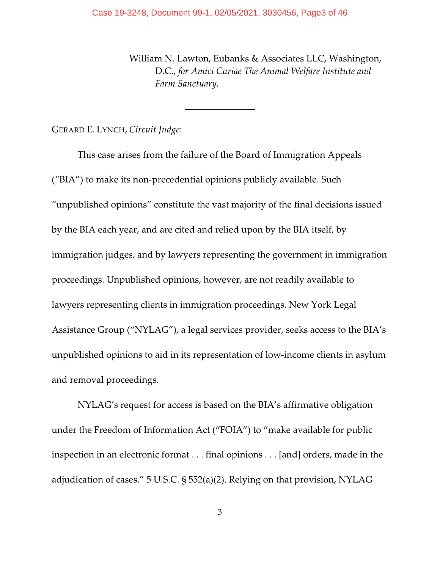$\overline{a}$ 

William N. Lawton, Eubanks & Associates LLC, Washington, D.C., *for Amici Curiae The Animal Welfare Institute and Farm Sanctuary.*

GERARD E. LYNCH, *Circuit Judge*:

This case arises from the failure of the Board of Immigration Appeals ("BIA") to make its non-precedential opinions publicly available. Such "unpublished opinions" constitute the vast majority of the final decisions issued by the BIA each year, and are cited and relied upon by the BIA itself, by immigration judges, and by lawyers representing the government in immigration proceedings. Unpublished opinions, however, are not readily available to lawyers representing clients in immigration proceedings. New York Legal Assistance Group ("NYLAG"), a legal services provider, seeks access to the BIA's unpublished opinions to aid in its representation of low-income clients in asylum and removal proceedings.

NYLAG's request for access is based on the BIA's affirmative obligation under the Freedom of Information Act ("FOIA") to "make available for public inspection in an electronic format . . . final opinions . . . [and] orders, made in the adjudication of cases." 5 U.S.C. § 552(a)(2). Relying on that provision, NYLAG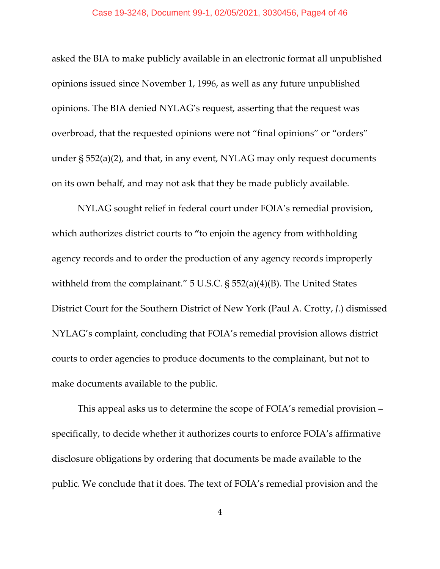#### Case 19-3248, Document 99-1, 02/05/2021, 3030456, Page4 of 46

asked the BIA to make publicly available in an electronic format all unpublished opinions issued since November 1, 1996, as well as any future unpublished opinions. The BIA denied NYLAG's request, asserting that the request was overbroad, that the requested opinions were not "final opinions" or "orders" under § 552(a)(2), and that, in any event, NYLAG may only request documents on its own behalf, and may not ask that they be made publicly available.

NYLAG sought relief in federal court under FOIA's remedial provision, which authorizes district courts to **"**to enjoin the agency from withholding agency records and to order the production of any agency records improperly withheld from the complainant." 5 U.S.C. § 552(a)(4)(B). The United States District Court for the Southern District of New York (Paul A. Crotty, *J*.) dismissed NYLAG's complaint, concluding that FOIA's remedial provision allows district courts to order agencies to produce documents to the complainant, but not to make documents available to the public.

This appeal asks us to determine the scope of FOIA's remedial provision – specifically, to decide whether it authorizes courts to enforce FOIA's affirmative disclosure obligations by ordering that documents be made available to the public. We conclude that it does. The text of FOIA's remedial provision and the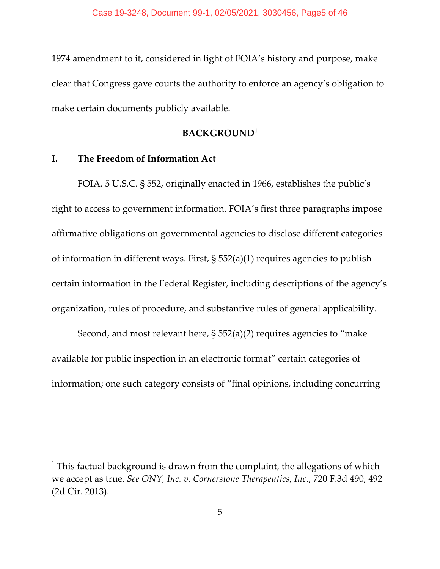1974 amendment to it, considered in light of FOIA's history and purpose, make clear that Congress gave courts the authority to enforce an agency's obligation to make certain documents publicly available.

## **BACKGROUND<sup>1</sup>**

## **I. The Freedom of Information Act**

FOIA, 5 U.S.C. § 552, originally enacted in 1966, establishes the public's right to access to government information. FOIA's first three paragraphs impose affirmative obligations on governmental agencies to disclose different categories of information in different ways. First, § 552(a)(1) requires agencies to publish certain information in the Federal Register, including descriptions of the agency's organization, rules of procedure, and substantive rules of general applicability.

Second, and most relevant here, § 552(a)(2) requires agencies to "make available for public inspection in an electronic format" certain categories of information; one such category consists of "final opinions, including concurring

 $^{\rm 1}$  This factual background is drawn from the complaint, the allegations of which we accept as true. *See ONY, Inc. v. Cornerstone Therapeutics, Inc.*, 720 F.3d 490, 492 (2d Cir. 2013).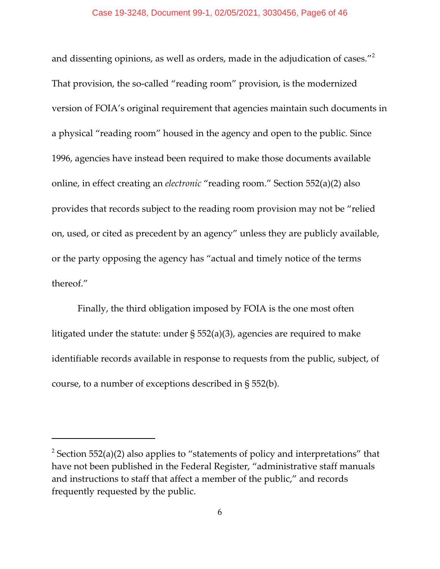and dissenting opinions, as well as orders, made in the adjudication of cases."<sup>2</sup> That provision, the so-called "reading room" provision, is the modernized version of FOIA's original requirement that agencies maintain such documents in a physical "reading room" housed in the agency and open to the public. Since 1996, agencies have instead been required to make those documents available online, in effect creating an *electronic* "reading room." Section 552(a)(2) also provides that records subject to the reading room provision may not be "relied on, used, or cited as precedent by an agency" unless they are publicly available, or the party opposing the agency has "actual and timely notice of the terms thereof."

Finally, the third obligation imposed by FOIA is the one most often litigated under the statute: under § 552(a)(3), agencies are required to make identifiable records available in response to requests from the public, subject, of course, to a number of exceptions described in § 552(b).

 $2$  Section 552(a)(2) also applies to "statements of policy and interpretations" that have not been published in the Federal Register, "administrative staff manuals and instructions to staff that affect a member of the public," and records frequently requested by the public.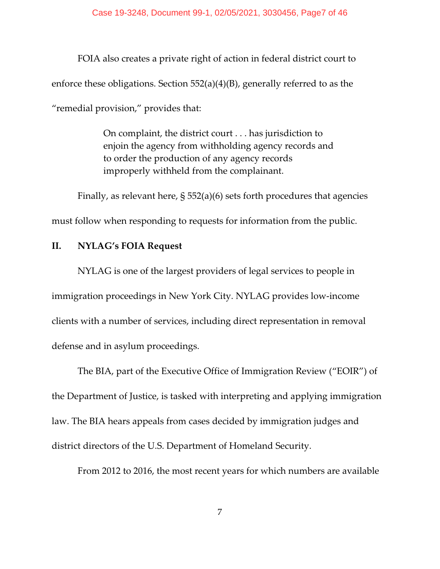FOIA also creates a private right of action in federal district court to enforce these obligations. Section 552(a)(4)(B), generally referred to as the "remedial provision," provides that:

> On complaint, the district court . . . has jurisdiction to enjoin the agency from withholding agency records and to order the production of any agency records improperly withheld from the complainant.

Finally, as relevant here, § 552(a)(6) sets forth procedures that agencies must follow when responding to requests for information from the public.

## **II. NYLAG's FOIA Request**

NYLAG is one of the largest providers of legal services to people in immigration proceedings in New York City. NYLAG provides low-income clients with a number of services, including direct representation in removal defense and in asylum proceedings.

The BIA, part of the Executive Office of Immigration Review ("EOIR") of the Department of Justice, is tasked with interpreting and applying immigration law. The BIA hears appeals from cases decided by immigration judges and district directors of the U.S. Department of Homeland Security.

From 2012 to 2016, the most recent years for which numbers are available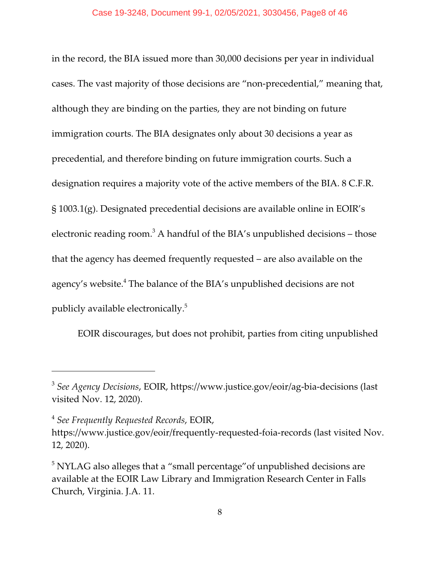#### Case 19-3248, Document 99-1, 02/05/2021, 3030456, Page8 of 46

in the record, the BIA issued more than 30,000 decisions per year in individual cases. The vast majority of those decisions are "non-precedential," meaning that, although they are binding on the parties, they are not binding on future immigration courts. The BIA designates only about 30 decisions a year as precedential, and therefore binding on future immigration courts. Such a designation requires a majority vote of the active members of the BIA. 8 C.F.R. § 1003.1(g). Designated precedential decisions are available online in EOIR's electronic reading room. $^3$  A handful of the BIA's unpublished decisions – those that the agency has deemed frequently requested – are also available on the agency's website. $^4$  The balance of the BIA's unpublished decisions are not publicly available electronically.<sup>5</sup>

EOIR discourages, but does not prohibit, parties from citing unpublished

<sup>3</sup> *See Agency Decisions*, EOIR, https://www.justice.gov/eoir/ag-bia-decisions (last visited Nov. 12, 2020).

<sup>4</sup> *See Frequently Requested Records*, EOIR,

https://www.justice.gov/eoir/frequently-requested-foia-records (last visited Nov. 12, 2020).

 $^5$  NYLAG also alleges that a "small percentage" $of unpublished decisions are$ available at the EOIR Law Library and Immigration Research Center in Falls Church, Virginia. J.A. 11.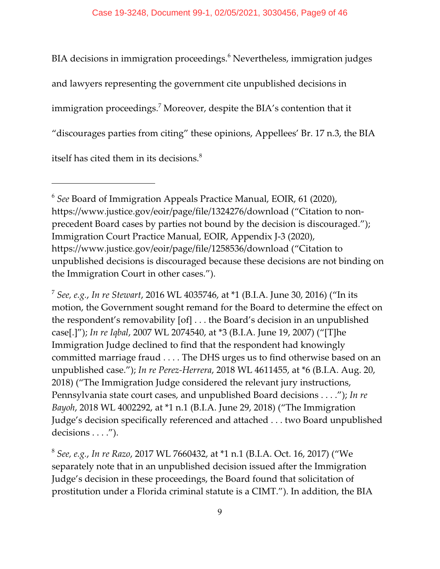BIA decisions in immigration proceedings. $^6$  Nevertheless, immigration judges and lawyers representing the government cite unpublished decisions in immigration proceedings. $^7$  Moreover, despite the BIA's contention that it "discourages parties from citing" these opinions, Appellees' Br. 17 n.3, the BIA itself has cited them in its decisions. $8<sup>8</sup>$ 

<sup>6</sup>  *See* Board of Immigration Appeals Practice Manual, EOIR, 61 (2020), https://www.justice.gov/eoir/page/file/1324276/download ("Citation to nonprecedent Board cases by parties not bound by the decision is discouraged."); Immigration Court Practice Manual, EOIR, Appendix J-3 (2020), https://www.justice.gov/eoir/page/file/1258536/download ("Citation to unpublished decisions is discouraged because these decisions are not binding on the Immigration Court in other cases.").

<sup>7</sup> *See, e.g.*, *In re Stewart*, 2016 WL 4035746, at \*1 (B.I.A. June 30, 2016) ("In its motion, the Government sought remand for the Board to determine the effect on the respondent's removability [of] . . . the Board's decision in an unpublished case[.]"); *In re Iqbal*, 2007 WL 2074540, at \*3 (B.I.A. June 19, 2007) ("[T]he Immigration Judge declined to find that the respondent had knowingly committed marriage fraud . . . . The DHS urges us to find otherwise based on an unpublished case."); *In re Perez-Herrera*, 2018 WL 4611455, at \*6 (B.I.A. Aug. 20, 2018) ("The Immigration Judge considered the relevant jury instructions, Pennsylvania state court cases, and unpublished Board decisions . . . ."); *In re Bayoh*, 2018 WL 4002292, at \*1 n.1 (B.I.A. June 29, 2018) ("The Immigration Judge's decision specifically referenced and attached . . . two Board unpublished decisions . . . .").

<sup>8</sup> *See, e.g.*, *In re Razo*, 2017 WL 7660432, at \*1 n.1 (B.I.A. Oct. 16, 2017) ("We separately note that in an unpublished decision issued after the Immigration Judge's decision in these proceedings, the Board found that solicitation of prostitution under a Florida criminal statute is a CIMT."). In addition, the BIA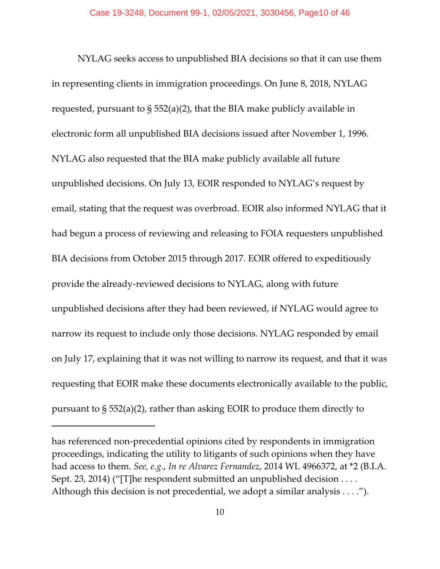NYLAG seeks access to unpublished BIA decisions so that it can use them in representing clients in immigration proceedings. On June 8, 2018, NYLAG requested, pursuant to  $\S 552(a)(2)$ , that the BIA make publicly available in electronic form all unpublished BIA decisions issued after November 1, 1996. NYLAG also requested that the BIA make publicly available all future unpublished decisions. On July 13, EOIR responded to NYLAG's request by email, stating that the request was overbroad. EOIR also informed NYLAG that it had begun a process of reviewing and releasing to FOIA requesters unpublished BIA decisions from October 2015 through 2017. EOIR offered to expeditiously provide the already-reviewed decisions to NYLAG, along with future unpublished decisions after they had been reviewed, if NYLAG would agree to narrow its request to include only those decisions. NYLAG responded by email on July 17, explaining that it was not willing to narrow its request, and that it was requesting that EOIR make these documents electronically available to the public, pursuant to § 552(a)(2), rather than asking EOIR to produce them directly to

has referenced non-precedential opinions cited by respondents in immigration proceedings, indicating the utility to litigants of such opinions when they have had access to them. *See, e.g.*, *In re Alvarez Fernandez*, 2014 WL 4966372, at \*2 (B.I.A. Sept. 23, 2014) ("[T]he respondent submitted an unpublished decision . . . . Although this decision is not precedential, we adopt a similar analysis . . . .").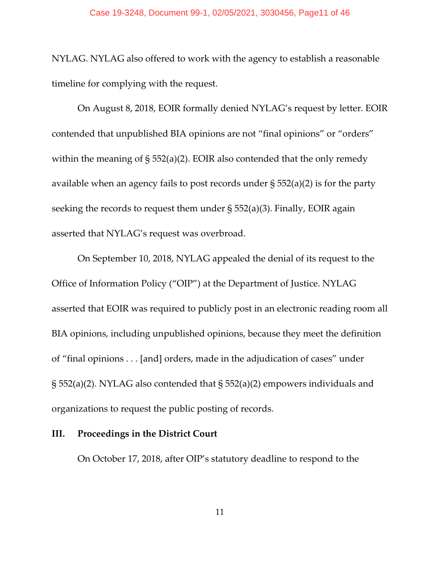NYLAG. NYLAG also offered to work with the agency to establish a reasonable timeline for complying with the request.

On August 8, 2018, EOIR formally denied NYLAG's request by letter. EOIR contended that unpublished BIA opinions are not "final opinions" or "orders" within the meaning of § 552(a)(2). EOIR also contended that the only remedy available when an agency fails to post records under § 552(a)(2) is for the party seeking the records to request them under  $\S 552(a)(3)$ . Finally, EOIR again asserted that NYLAG's request was overbroad.

On September 10, 2018, NYLAG appealed the denial of its request to the Office of Information Policy ("OIP") at the Department of Justice. NYLAG asserted that EOIR was required to publicly post in an electronic reading room all BIA opinions, including unpublished opinions, because they meet the definition of "final opinions . . . [and] orders, made in the adjudication of cases" under § 552(a)(2). NYLAG also contended that § 552(a)(2) empowers individuals and organizations to request the public posting of records.

## **III. Proceedings in the District Court**

On October 17, 2018, after OIP's statutory deadline to respond to the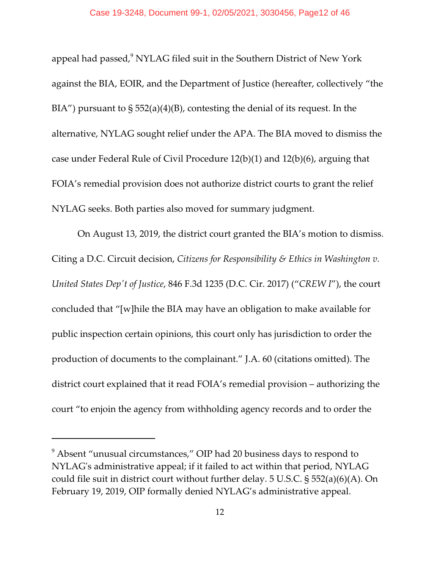appeal had passed, $^9$  NYLAG filed suit in the Southern District of New York against the BIA, EOIR, and the Department of Justice (hereafter, collectively "the  $BIA''$ ) pursuant to  $\S 552(a)(4)(B)$ , contesting the denial of its request. In the alternative, NYLAG sought relief under the APA. The BIA moved to dismiss the case under Federal Rule of Civil Procedure 12(b)(1) and 12(b)(6), arguing that FOIA's remedial provision does not authorize district courts to grant the relief NYLAG seeks. Both parties also moved for summary judgment.

On August 13, 2019, the district court granted the BIA's motion to dismiss. Citing a D.C. Circuit decision, *Citizens for Responsibility & Ethics in Washington v. United States Dep't of Justice*, 846 F.3d 1235 (D.C. Cir. 2017) ("*CREW I*"), the court concluded that "[w]hile the BIA may have an obligation to make available for public inspection certain opinions, this court only has jurisdiction to order the production of documents to the complainant." J.A. 60 (citations omitted). The district court explained that it read FOIA's remedial provision – authorizing the court "to enjoin the agency from withholding agency records and to order the

 $^9$  Absent "unusual circumstances," OIP had 20 business days to respond to NYLAG's administrative appeal; if it failed to act within that period, NYLAG could file suit in district court without further delay. 5 U.S.C. § 552(a)(6)(A). On February 19, 2019, OIP formally denied NYLAG's administrative appeal.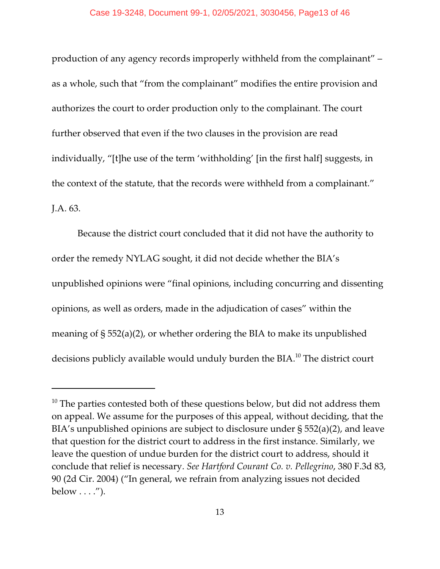#### Case 19-3248, Document 99-1, 02/05/2021, 3030456, Page13 of 46

production of any agency records improperly withheld from the complainant" – as a whole, such that "from the complainant" modifies the entire provision and authorizes the court to order production only to the complainant. The court further observed that even if the two clauses in the provision are read individually, "[t]he use of the term 'withholding' [in the first half] suggests, in the context of the statute, that the records were withheld from a complainant." J.A. 63.

Because the district court concluded that it did not have the authority to order the remedy NYLAG sought, it did not decide whether the BIA's unpublished opinions were "final opinions, including concurring and dissenting opinions, as well as orders, made in the adjudication of cases" within the meaning of § 552(a)(2), or whether ordering the BIA to make its unpublished decisions publicly available would unduly burden the BIA.<sup>10</sup> The district court

 $^{10}$  The parties contested both of these questions below, but did not address them on appeal. We assume for the purposes of this appeal, without deciding, that the BIA's unpublished opinions are subject to disclosure under § 552(a)(2), and leave that question for the district court to address in the first instance. Similarly, we leave the question of undue burden for the district court to address, should it conclude that relief is necessary. *See Hartford Courant Co. v. Pellegrino*, 380 F.3d 83, 90 (2d Cir. 2004) ("In general, we refrain from analyzing issues not decided below  $\dots$ .").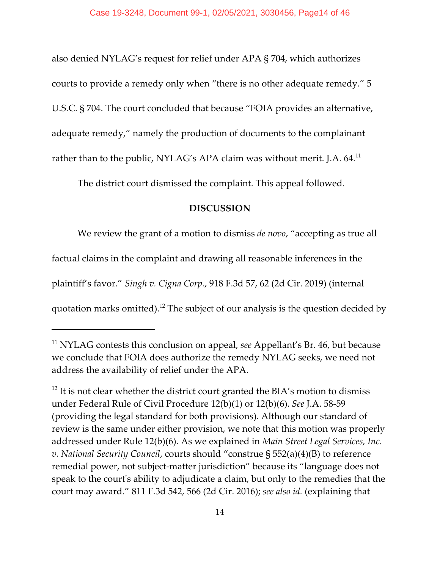also denied NYLAG's request for relief under APA § 704, which authorizes courts to provide a remedy only when "there is no other adequate remedy." 5 U.S.C. § 704. The court concluded that because "FOIA provides an alternative, adequate remedy," namely the production of documents to the complainant rather than to the public, NYLAG's APA claim was without merit. J.A. 64.<sup>11</sup>

The district court dismissed the complaint. This appeal followed.

## **DISCUSSION**

We review the grant of a motion to dismiss *de novo*, "accepting as true all

factual claims in the complaint and drawing all reasonable inferences in the

plaintiff's favor." *Singh v. Cigna Corp.*, 918 F.3d 57, 62 (2d Cir. 2019) (internal

quotation marks omitted).<sup>12</sup> The subject of our analysis is the question decided by

<sup>&</sup>lt;sup>11</sup> NYLAG contests this conclusion on appeal, *see* Appellant's Br. 46, but because we conclude that FOIA does authorize the remedy NYLAG seeks, we need not address the availability of relief under the APA.

 $^{12}$  It is not clear whether the district court granted the BIA's motion to dismiss under Federal Rule of Civil Procedure 12(b)(1) or 12(b)(6). *See* J.A. 58-59 (providing the legal standard for both provisions). Although our standard of review is the same under either provision, we note that this motion was properly addressed under Rule 12(b)(6). As we explained in *Main Street Legal Services, Inc. v. National Security Council*, courts should "construe § 552(a)(4)(B) to reference remedial power, not subject-matter jurisdiction" because its "language does not speak to the court's ability to adjudicate a claim, but only to the remedies that the court may award." 811 F.3d 542, 566 (2d Cir. 2016); *see also id.* (explaining that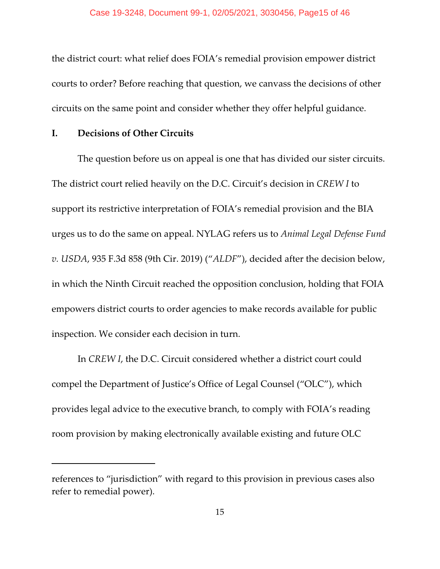the district court: what relief does FOIA's remedial provision empower district courts to order? Before reaching that question, we canvass the decisions of other circuits on the same point and consider whether they offer helpful guidance.

## **I. Decisions of Other Circuits**

The question before us on appeal is one that has divided our sister circuits. The district court relied heavily on the D.C. Circuit's decision in *CREW I* to support its restrictive interpretation of FOIA's remedial provision and the BIA urges us to do the same on appeal. NYLAG refers us to *Animal Legal Defense Fund v. USDA*, 935 F.3d 858 (9th Cir. 2019) ("*ALDF*"), decided after the decision below, in which the Ninth Circuit reached the opposition conclusion, holding that FOIA empowers district courts to order agencies to make records available for public inspection. We consider each decision in turn.

In *CREW I*, the D.C. Circuit considered whether a district court could compel the Department of Justice's Office of Legal Counsel ("OLC"), which provides legal advice to the executive branch, to comply with FOIA's reading room provision by making electronically available existing and future OLC

references to "jurisdiction" with regard to this provision in previous cases also refer to remedial power).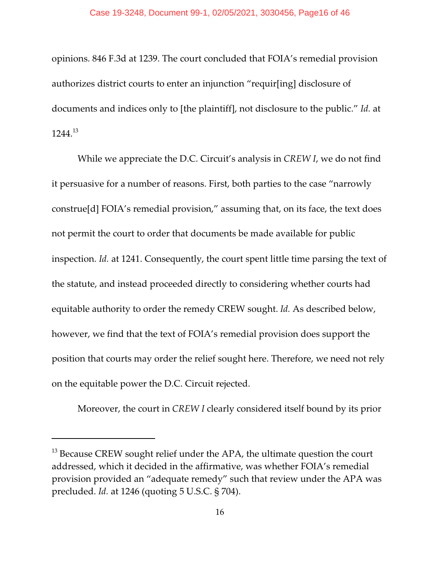opinions. 846 F.3d at 1239. The court concluded that FOIA's remedial provision authorizes district courts to enter an injunction "requir[ing] disclosure of documents and indices only to [the plaintiff], not disclosure to the public." *Id.* at 1244.<sup>13</sup>

While we appreciate the D.C. Circuit's analysis in *CREW I*, we do not find it persuasive for a number of reasons. First, both parties to the case "narrowly construe[d] FOIA's remedial provision," assuming that, on its face, the text does not permit the court to order that documents be made available for public inspection. *Id.* at 1241. Consequently, the court spent little time parsing the text of the statute, and instead proceeded directly to considering whether courts had equitable authority to order the remedy CREW sought. *Id.* As described below, however, we find that the text of FOIA's remedial provision does support the position that courts may order the relief sought here. Therefore, we need not rely on the equitable power the D.C. Circuit rejected.

Moreover, the court in *CREW I* clearly considered itself bound by its prior

 $^{13}$  Because CREW sought relief under the APA, the ultimate question the court addressed, which it decided in the affirmative, was whether FOIA's remedial provision provided an "adequate remedy" such that review under the APA was precluded. *Id.* at 1246 (quoting 5 U.S.C. § 704).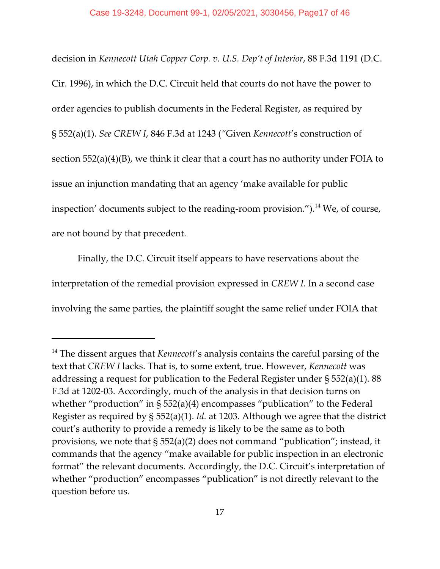decision in *Kennecott Utah Copper Corp. v. U.S. Dep't of Interior*, 88 F.3d 1191 (D.C. Cir. 1996), in which the D.C. Circuit held that courts do not have the power to order agencies to publish documents in the Federal Register, as required by § 552(a)(1). *See CREW I*, 846 F.3d at 1243 (*"*Given *Kennecott*'s construction of section 552(a)(4)(B), we think it clear that a court has no authority under FOIA to issue an injunction mandating that an agency 'make available for public inspection' documents subject to the reading-room provision.").<sup>14</sup> We, of course, are not bound by that precedent.

Finally, the D.C. Circuit itself appears to have reservations about the interpretation of the remedial provision expressed in *CREW I.* In a second case involving the same parties, the plaintiff sought the same relief under FOIA that

<sup>&</sup>lt;sup>14</sup> The dissent argues that *Kennecott'*s analysis contains the careful parsing of the text that *CREW I* lacks. That is, to some extent, true. However, *Kennecott* was addressing a request for publication to the Federal Register under § 552(a)(1). 88 F.3d at 1202-03. Accordingly, much of the analysis in that decision turns on whether "production" in § 552(a)(4) encompasses "publication" to the Federal Register as required by § 552(a)(1). *Id.* at 1203. Although we agree that the district court's authority to provide a remedy is likely to be the same as to both provisions, we note that § 552(a)(2) does not command "publication"; instead, it commands that the agency "make available for public inspection in an electronic format" the relevant documents. Accordingly, the D.C. Circuit's interpretation of whether "production" encompasses "publication" is not directly relevant to the question before us.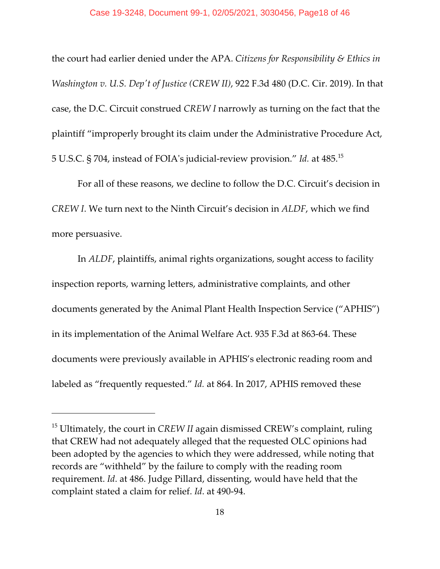the court had earlier denied under the APA. *Citizens for Responsibility & Ethics in Washington v. U.S. Dep't of Justice (CREW II)*, 922 F.3d 480 (D.C. Cir. 2019). In that case, the D.C. Circuit construed *CREW I* narrowly as turning on the fact that the plaintiff "improperly brought its claim under the Administrative Procedure Act, 5 U.S.C. § 704, instead of FOIA's judicial-review provision." *Id.* at 485.<sup>15</sup>

For all of these reasons, we decline to follow the D.C. Circuit's decision in *CREW I*. We turn next to the Ninth Circuit's decision in *ALDF*, which we find more persuasive.

In *ALDF*, plaintiffs, animal rights organizations, sought access to facility inspection reports, warning letters, administrative complaints, and other documents generated by the Animal Plant Health Inspection Service ("APHIS") in its implementation of the Animal Welfare Act. 935 F.3d at 863-64. These documents were previously available in APHIS's electronic reading room and labeled as "frequently requested." *Id.* at 864. In 2017, APHIS removed these

<sup>&</sup>lt;sup>15</sup> Ultimately, the court in CREW II again dismissed CREW's complaint, ruling that CREW had not adequately alleged that the requested OLC opinions had been adopted by the agencies to which they were addressed, while noting that records are "withheld" by the failure to comply with the reading room requirement. *Id*. at 486. Judge Pillard, dissenting, would have held that the complaint stated a claim for relief. *Id*. at 490-94.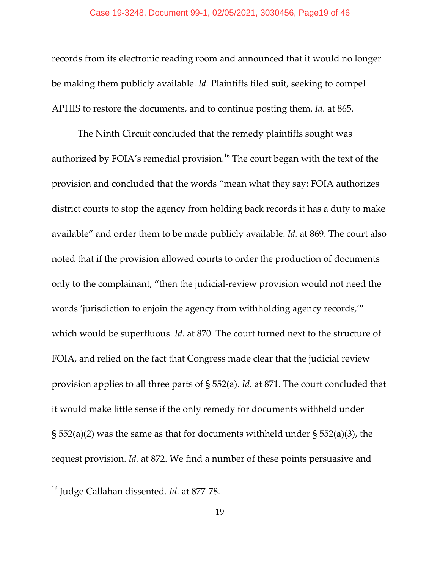records from its electronic reading room and announced that it would no longer be making them publicly available. *Id.* Plaintiffs filed suit, seeking to compel APHIS to restore the documents, and to continue posting them. *Id.* at 865.

The Ninth Circuit concluded that the remedy plaintiffs sought was authorized by FOIA's remedial provision.<sup>16</sup> The court began with the text of the provision and concluded that the words "mean what they say: FOIA authorizes district courts to stop the agency from holding back records it has a duty to make available" and order them to be made publicly available. *Id.* at 869. The court also noted that if the provision allowed courts to order the production of documents only to the complainant, "then the judicial-review provision would not need the words 'jurisdiction to enjoin the agency from withholding agency records,'" which would be superfluous. *Id.* at 870. The court turned next to the structure of FOIA, and relied on the fact that Congress made clear that the judicial review provision applies to all three parts of § 552(a). *Id.* at 871. The court concluded that it would make little sense if the only remedy for documents withheld under  $\S$  552(a)(2) was the same as that for documents withheld under  $\S$  552(a)(3), the request provision. *Id.* at 872. We find a number of these points persuasive and

<sup>16</sup> Judge Callahan dissented. *Id*. at 877-78.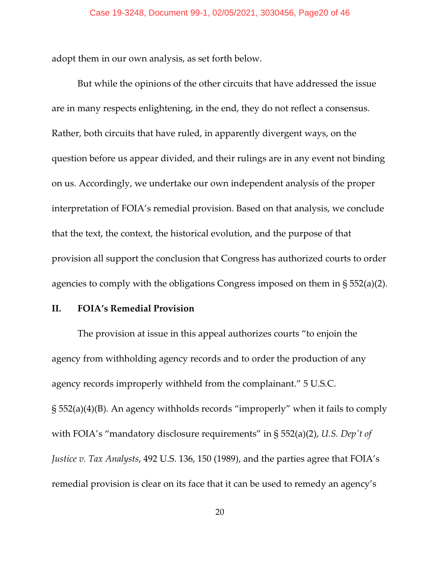adopt them in our own analysis, as set forth below.

But while the opinions of the other circuits that have addressed the issue are in many respects enlightening, in the end, they do not reflect a consensus. Rather, both circuits that have ruled, in apparently divergent ways, on the question before us appear divided, and their rulings are in any event not binding on us. Accordingly, we undertake our own independent analysis of the proper interpretation of FOIA's remedial provision. Based on that analysis, we conclude that the text, the context, the historical evolution, and the purpose of that provision all support the conclusion that Congress has authorized courts to order agencies to comply with the obligations Congress imposed on them in § 552(a)(2).

## **II. FOIA's Remedial Provision**

The provision at issue in this appeal authorizes courts "to enjoin the agency from withholding agency records and to order the production of any agency records improperly withheld from the complainant." 5 U.S.C. § 552(a)(4)(B). An agency withholds records "improperly" when it fails to comply with FOIA's "mandatory disclosure requirements" in § 552(a)(2), *U.S. Dep't of Justice v. Tax Analysts*, 492 U.S. 136, 150 (1989), and the parties agree that FOIA's remedial provision is clear on its face that it can be used to remedy an agency's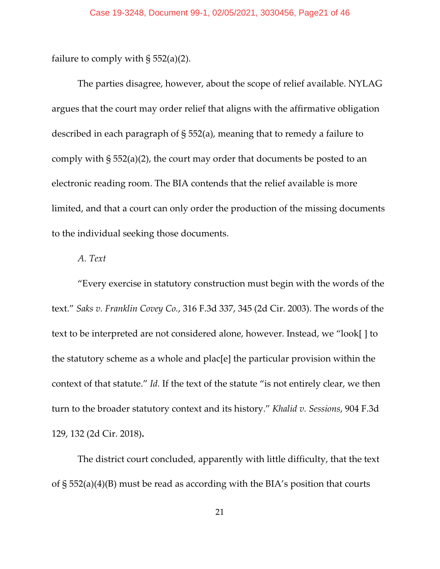failure to comply with  $\S 552(a)(2)$ .

The parties disagree, however, about the scope of relief available. NYLAG argues that the court may order relief that aligns with the affirmative obligation described in each paragraph of § 552(a), meaning that to remedy a failure to comply with § 552(a)(2), the court may order that documents be posted to an electronic reading room. The BIA contends that the relief available is more limited, and that a court can only order the production of the missing documents to the individual seeking those documents.

## *A. Text*

"Every exercise in statutory construction must begin with the words of the text." *Saks v. Franklin Covey Co.*, 316 F.3d 337, 345 (2d Cir. 2003). The words of the text to be interpreted are not considered alone, however. Instead, we "look[ ] to the statutory scheme as a whole and plac[e] the particular provision within the context of that statute." *Id.* If the text of the statute "is not entirely clear, we then turn to the broader statutory context and its history." *Khalid v. Sessions*, 904 F.3d 129, 132 (2d Cir. 2018)**.**

The district court concluded, apparently with little difficulty, that the text of § 552(a)(4)(B) must be read as according with the BIA's position that courts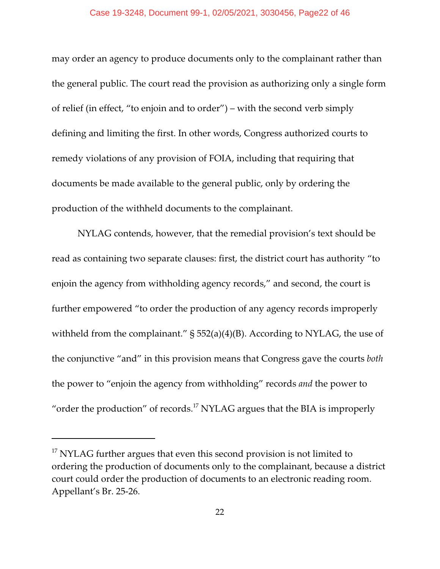#### Case 19-3248, Document 99-1, 02/05/2021, 3030456, Page22 of 46

may order an agency to produce documents only to the complainant rather than the general public. The court read the provision as authorizing only a single form of relief (in effect, "to enjoin and to order") – with the second verb simply defining and limiting the first. In other words, Congress authorized courts to remedy violations of any provision of FOIA, including that requiring that documents be made available to the general public, only by ordering the production of the withheld documents to the complainant.

NYLAG contends, however, that the remedial provision's text should be read as containing two separate clauses: first, the district court has authority "to enjoin the agency from withholding agency records," and second, the court is further empowered "to order the production of any agency records improperly withheld from the complainant." § 552(a)(4)(B). According to NYLAG, the use of the conjunctive "and" in this provision means that Congress gave the courts *both* the power to "enjoin the agency from withholding" records *and* the power to "order the production" of records.<sup>17</sup> NYLAG argues that the BIA is improperly

 $^{17}$  NYLAG further argues that even this second provision is not limited to ordering the production of documents only to the complainant, because a district court could order the production of documents to an electronic reading room. Appellant's Br. 25-26.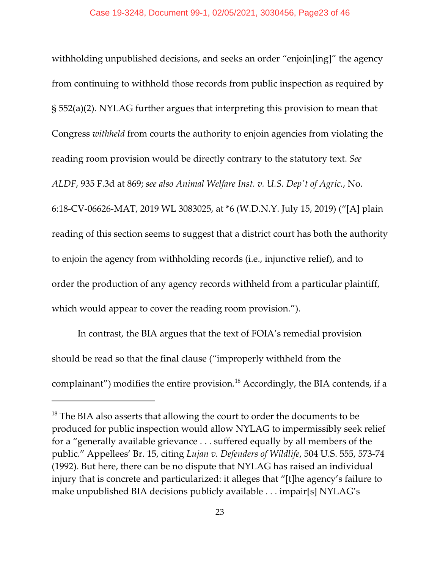withholding unpublished decisions, and seeks an order "enjoin[ing]" the agency from continuing to withhold those records from public inspection as required by § 552(a)(2). NYLAG further argues that interpreting this provision to mean that Congress *withheld* from courts the authority to enjoin agencies from violating the reading room provision would be directly contrary to the statutory text. *See ALDF*, 935 F.3d at 869; *see also Animal Welfare Inst. v. U.S. Dep't of Agric.*, No. 6:18-CV-06626-MAT, 2019 WL 3083025, at \*6 (W.D.N.Y. July 15, 2019) ("[A] plain reading of this section seems to suggest that a district court has both the authority to enjoin the agency from withholding records (i.e., injunctive relief), and to order the production of any agency records withheld from a particular plaintiff, which would appear to cover the reading room provision.").

In contrast, the BIA argues that the text of FOIA's remedial provision should be read so that the final clause ("improperly withheld from the complainant") modifies the entire provision.<sup>18</sup> Accordingly, the BIA contends, if a

 $^{18}$  The BIA also asserts that allowing the court to order the documents to be produced for public inspection would allow NYLAG to impermissibly seek relief for a "generally available grievance . . . suffered equally by all members of the public." Appellees' Br. 15, citing *Lujan v. Defenders of Wildlife*, 504 U.S. 555, 573-74 (1992). But here, there can be no dispute that NYLAG has raised an individual injury that is concrete and particularized: it alleges that "[t]he agency's failure to make unpublished BIA decisions publicly available . . . impair[s] NYLAG's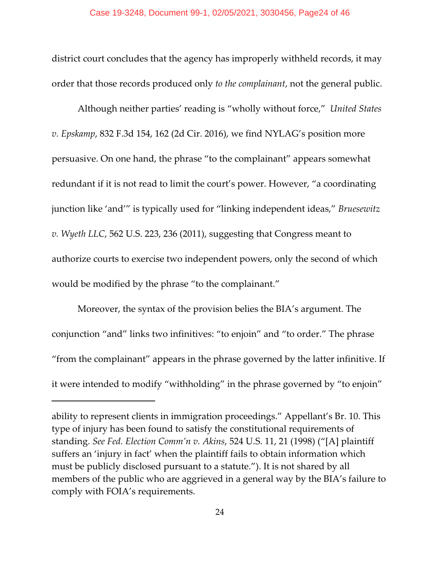district court concludes that the agency has improperly withheld records, it may order that those records produced only *to the complainant*, not the general public.

Although neither parties' reading is "wholly without force," *United States v. Epskamp*, 832 F.3d 154, 162 (2d Cir. 2016), we find NYLAG's position more persuasive. On one hand, the phrase "to the complainant" appears somewhat redundant if it is not read to limit the court's power. However, "a coordinating junction like 'and'" is typically used for "linking independent ideas," *Bruesewitz v. Wyeth LLC*, 562 U.S. 223, 236 (2011), suggesting that Congress meant to authorize courts to exercise two independent powers, only the second of which would be modified by the phrase "to the complainant."

Moreover, the syntax of the provision belies the BIA's argument. The conjunction "and" links two infinitives: "to enjoin" and "to order." The phrase "from the complainant" appears in the phrase governed by the latter infinitive. If it were intended to modify "withholding" in the phrase governed by "to enjoin"

ability to represent clients in immigration proceedings." Appellant's Br. 10. This type of injury has been found to satisfy the constitutional requirements of standing. *See Fed. Election Comm'n v. Akins*, 524 U.S. 11, 21 (1998) ("[A] plaintiff suffers an 'injury in fact' when the plaintiff fails to obtain information which must be publicly disclosed pursuant to a statute."). It is not shared by all members of the public who are aggrieved in a general way by the BIA's failure to comply with FOIA's requirements.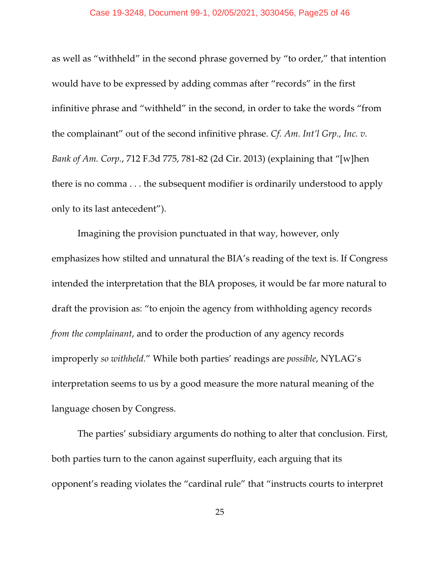#### Case 19-3248, Document 99-1, 02/05/2021, 3030456, Page25 of 46

as well as "withheld" in the second phrase governed by "to order," that intention would have to be expressed by adding commas after "records" in the first infinitive phrase and "withheld" in the second, in order to take the words "from the complainant" out of the second infinitive phrase. *Cf. Am. Int'l Grp., Inc. v. Bank of Am. Corp.*, 712 F.3d 775, 781-82 (2d Cir. 2013) (explaining that "[w]hen there is no comma . . . the subsequent modifier is ordinarily understood to apply only to its last antecedent").

Imagining the provision punctuated in that way, however, only emphasizes how stilted and unnatural the BIA's reading of the text is. If Congress intended the interpretation that the BIA proposes, it would be far more natural to draft the provision as: "to enjoin the agency from withholding agency records *from the complainant*, and to order the production of any agency records improperly *so withheld.*" While both parties' readings are *possible*, NYLAG's interpretation seems to us by a good measure the more natural meaning of the language chosen by Congress.

The parties' subsidiary arguments do nothing to alter that conclusion. First, both parties turn to the canon against superfluity, each arguing that its opponent's reading violates the "cardinal rule" that "instructs courts to interpret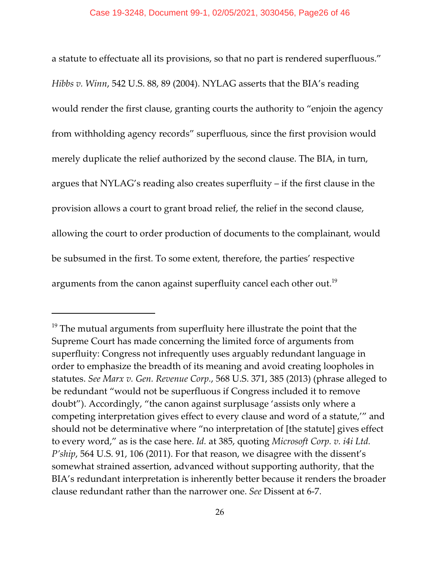a statute to effectuate all its provisions, so that no part is rendered superfluous." *Hibbs v. Winn*, 542 U.S. 88, 89 (2004). NYLAG asserts that the BIA's reading would render the first clause, granting courts the authority to "enjoin the agency from withholding agency records" superfluous, since the first provision would merely duplicate the relief authorized by the second clause. The BIA, in turn, argues that NYLAG's reading also creates superfluity – if the first clause in the provision allows a court to grant broad relief, the relief in the second clause, allowing the court to order production of documents to the complainant, would be subsumed in the first. To some extent, therefore, the parties' respective arguments from the canon against superfluity cancel each other out.<sup>19</sup>

 $^{\rm 19}$  The mutual arguments from superfluity here illustrate the point that the Supreme Court has made concerning the limited force of arguments from superfluity: Congress not infrequently uses arguably redundant language in order to emphasize the breadth of its meaning and avoid creating loopholes in statutes. *See Marx v. Gen. Revenue Corp.*, 568 U.S. 371, 385 (2013) (phrase alleged to be redundant "would not be superfluous if Congress included it to remove doubt"). Accordingly, "the canon against surplusage 'assists only where a competing interpretation gives effect to every clause and word of a statute,'" and should not be determinative where "no interpretation of [the statute] gives effect to every word," as is the case here. *Id.* at 385, quoting *Microsoft Corp. v. i4i Ltd. P'ship*, 564 U.S. 91, 106 (2011). For that reason, we disagree with the dissent's somewhat strained assertion, advanced without supporting authority, that the BIA's redundant interpretation is inherently better because it renders the broader clause redundant rather than the narrower one. *See* Dissent at 6-7.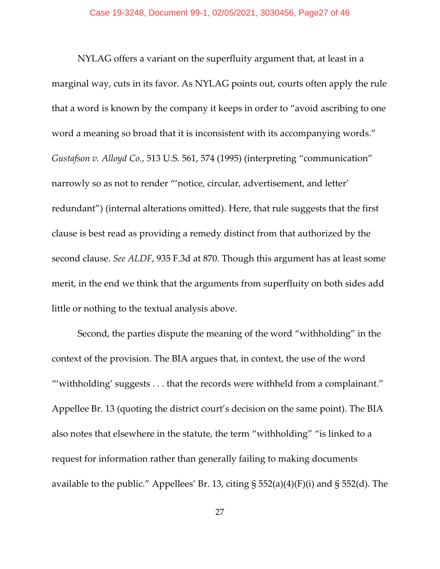NYLAG offers a variant on the superfluity argument that, at least in a marginal way, cuts in its favor. As NYLAG points out, courts often apply the rule that a word is known by the company it keeps in order to "avoid ascribing to one word a meaning so broad that it is inconsistent with its accompanying words." *Gustafson v. Alloyd Co.*, 513 U.S. 561, 574 (1995) (interpreting "communication" narrowly so as not to render "'notice, circular, advertisement, and letter' redundant") (internal alterations omitted). Here, that rule suggests that the first clause is best read as providing a remedy distinct from that authorized by the second clause. *See ALDF*, 935 F.3d at 870. Though this argument has at least some merit, in the end we think that the arguments from superfluity on both sides add little or nothing to the textual analysis above.

Second, the parties dispute the meaning of the word "withholding" in the context of the provision. The BIA argues that, in context, the use of the word "'withholding' suggests . . . that the records were withheld from a complainant." Appellee Br. 13 (quoting the district court's decision on the same point). The BIA also notes that elsewhere in the statute, the term "withholding" "is linked to a request for information rather than generally failing to making documents available to the public." Appellees' Br. 13, citing § 552(a)(4)(F)(i) and § 552(d). The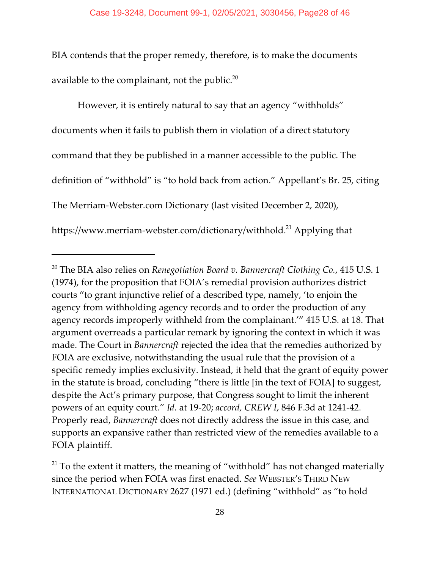BIA contends that the proper remedy, therefore, is to make the documents available to the complainant, not the public. $20$ 

However, it is entirely natural to say that an agency "withholds" documents when it fails to publish them in violation of a direct statutory command that they be published in a manner accessible to the public. The definition of "withhold" is "to hold back from action." Appellant's Br. 25, citing The Merriam-Webster.com Dictionary (last visited December 2, 2020), https://www.merriam-webster.com/dictionary/withhold.<sup>21</sup> Applying that

<sup>20</sup> The BIA also relies on *Renegotiation Board v. Bannercraft Clothing Co.*, 415 U.S. 1 (1974), for the proposition that FOIA's remedial provision authorizes district courts "to grant injunctive relief of a described type, namely, 'to enjoin the agency from withholding agency records and to order the production of any agency records improperly withheld from the complainant.'" 415 U.S. at 18. That argument overreads a particular remark by ignoring the context in which it was made. The Court in *Bannercraft* rejected the idea that the remedies authorized by FOIA are exclusive, notwithstanding the usual rule that the provision of a specific remedy implies exclusivity. Instead, it held that the grant of equity power in the statute is broad, concluding "there is little [in the text of FOIA] to suggest, despite the Act's primary purpose, that Congress sought to limit the inherent powers of an equity court." *Id.* at 19-20; *accord, CREW I*, 846 F.3d at 1241-42. Properly read, *Bannercraft* does not directly address the issue in this case, and supports an expansive rather than restricted view of the remedies available to a FOIA plaintiff.

 $^{21}$  To the extent it matters, the meaning of "withhold" has not changed materially since the period when FOIA was first enacted. *See* WEBSTER'S THIRD NEW INTERNATIONAL DICTIONARY 2627 (1971 ed.) (defining "withhold" as "to hold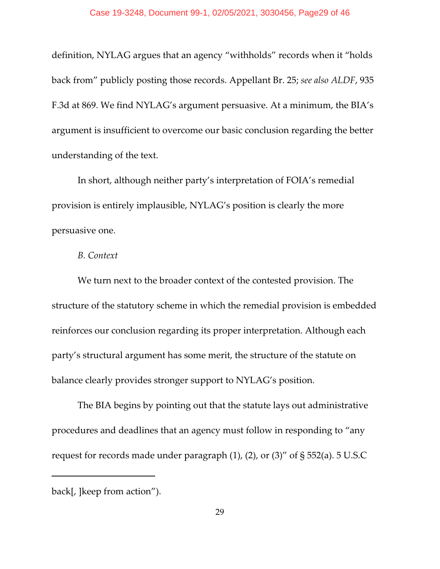definition, NYLAG argues that an agency "withholds" records when it "holds back from" publicly posting those records. Appellant Br. 25; *see also ALDF*, 935 F.3d at 869. We find NYLAG's argument persuasive. At a minimum, the BIA's argument is insufficient to overcome our basic conclusion regarding the better understanding of the text.

In short, although neither party's interpretation of FOIA's remedial provision is entirely implausible, NYLAG's position is clearly the more persuasive one.

## *B. Context*

We turn next to the broader context of the contested provision. The structure of the statutory scheme in which the remedial provision is embedded reinforces our conclusion regarding its proper interpretation. Although each party's structural argument has some merit, the structure of the statute on balance clearly provides stronger support to NYLAG's position.

The BIA begins by pointing out that the statute lays out administrative procedures and deadlines that an agency must follow in responding to "any request for records made under paragraph (1), (2), or (3)" of § 552(a). 5 U.S.C

back[, ]keep from action").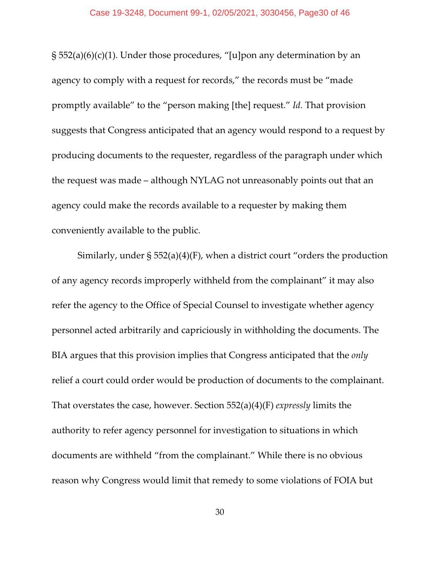#### Case 19-3248, Document 99-1, 02/05/2021, 3030456, Page30 of 46

§ 552(a)(6)(c)(1). Under those procedures, "[u]pon any determination by an agency to comply with a request for records," the records must be "made promptly available" to the "person making [the] request." *Id.* That provision suggests that Congress anticipated that an agency would respond to a request by producing documents to the requester, regardless of the paragraph under which the request was made – although NYLAG not unreasonably points out that an agency could make the records available to a requester by making them conveniently available to the public.

Similarly, under § 552(a)(4)(F), when a district court "orders the production of any agency records improperly withheld from the complainant" it may also refer the agency to the Office of Special Counsel to investigate whether agency personnel acted arbitrarily and capriciously in withholding the documents. The BIA argues that this provision implies that Congress anticipated that the *only* relief a court could order would be production of documents to the complainant. That overstates the case, however. Section 552(a)(4)(F) *expressly* limits the authority to refer agency personnel for investigation to situations in which documents are withheld "from the complainant." While there is no obvious reason why Congress would limit that remedy to some violations of FOIA but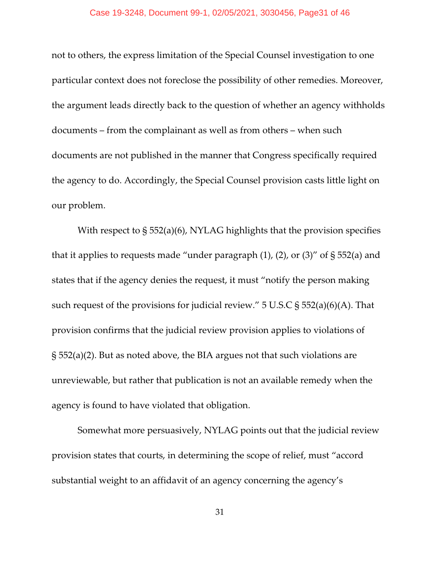#### Case 19-3248, Document 99-1, 02/05/2021, 3030456, Page31 of 46

not to others, the express limitation of the Special Counsel investigation to one particular context does not foreclose the possibility of other remedies. Moreover, the argument leads directly back to the question of whether an agency withholds documents – from the complainant as well as from others – when such documents are not published in the manner that Congress specifically required the agency to do. Accordingly, the Special Counsel provision casts little light on our problem.

With respect to § 552(a)(6), NYLAG highlights that the provision specifies that it applies to requests made "under paragraph  $(1)$ ,  $(2)$ , or  $(3)$ " of § 552 $(a)$  and states that if the agency denies the request, it must "notify the person making such request of the provisions for judicial review."  $5 \text{ U.S.C}$   $\frac{1}{5} \frac{552(a)(6)(A)}{A}$ . That provision confirms that the judicial review provision applies to violations of § 552(a)(2). But as noted above, the BIA argues not that such violations are unreviewable, but rather that publication is not an available remedy when the agency is found to have violated that obligation.

Somewhat more persuasively, NYLAG points out that the judicial review provision states that courts, in determining the scope of relief, must "accord substantial weight to an affidavit of an agency concerning the agency's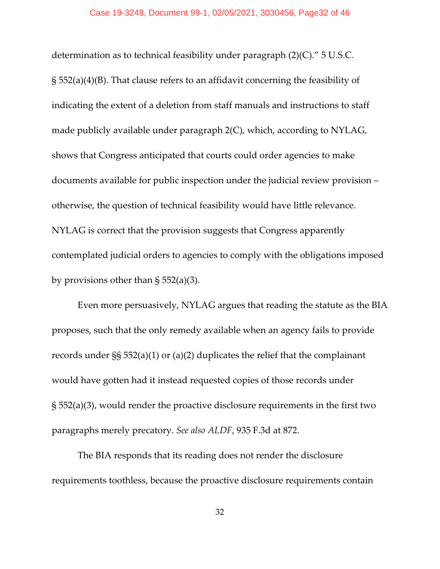#### Case 19-3248, Document 99-1, 02/05/2021, 3030456, Page32 of 46

determination as to technical feasibility under paragraph (2)(C)." 5 U.S.C. § 552(a)(4)(B). That clause refers to an affidavit concerning the feasibility of indicating the extent of a deletion from staff manuals and instructions to staff made publicly available under paragraph 2(C), which, according to NYLAG, shows that Congress anticipated that courts could order agencies to make documents available for public inspection under the judicial review provision – otherwise, the question of technical feasibility would have little relevance. NYLAG is correct that the provision suggests that Congress apparently contemplated judicial orders to agencies to comply with the obligations imposed by provisions other than  $\S 552(a)(3)$ .

Even more persuasively, NYLAG argues that reading the statute as the BIA proposes, such that the only remedy available when an agency fails to provide records under §§ 552(a)(1) or (a)(2) duplicates the relief that the complainant would have gotten had it instead requested copies of those records under § 552(a)(3), would render the proactive disclosure requirements in the first two paragraphs merely precatory. *See also ALDF*, 935 F.3d at 872.

The BIA responds that its reading does not render the disclosure requirements toothless, because the proactive disclosure requirements contain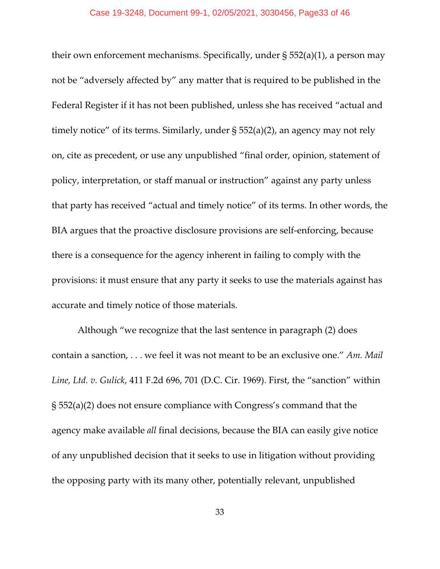their own enforcement mechanisms. Specifically, under § 552(a)(1), a person may not be "adversely affected by" any matter that is required to be published in the Federal Register if it has not been published, unless she has received "actual and timely notice" of its terms. Similarly, under § 552(a)(2), an agency may not rely on, cite as precedent, or use any unpublished "final order, opinion, statement of policy, interpretation, or staff manual or instruction" against any party unless that party has received "actual and timely notice" of its terms. In other words, the BIA argues that the proactive disclosure provisions are self-enforcing, because there is a consequence for the agency inherent in failing to comply with the provisions: it must ensure that any party it seeks to use the materials against has accurate and timely notice of those materials.

Although "we recognize that the last sentence in paragraph (2) does contain a sanction, . . . we feel it was not meant to be an exclusive one." *Am. Mail Line, Ltd. v. Gulick*, 411 F.2d 696, 701 (D.C. Cir. 1969). First, the "sanction" within § 552(a)(2) does not ensure compliance with Congress's command that the agency make available *all* final decisions, because the BIA can easily give notice of any unpublished decision that it seeks to use in litigation without providing the opposing party with its many other, potentially relevant, unpublished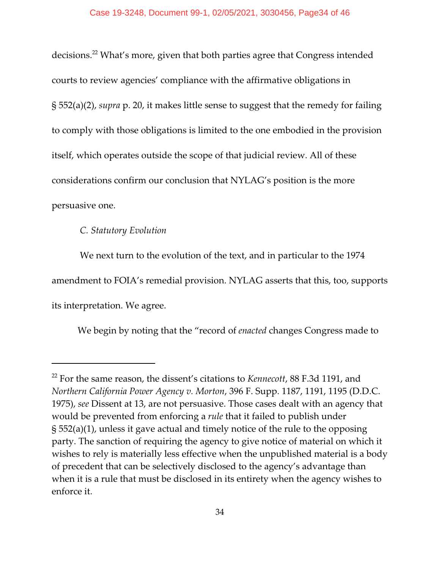decisions.<sup>22</sup> What's more, given that both parties agree that Congress intended courts to review agencies' compliance with the affirmative obligations in § 552(a)(2), *supra* p. 20, it makes little sense to suggest that the remedy for failing to comply with those obligations is limited to the one embodied in the provision itself, which operates outside the scope of that judicial review. All of these considerations confirm our conclusion that NYLAG's position is the more persuasive one.

## *C. Statutory Evolution*

 We next turn to the evolution of the text, and in particular to the 1974 amendment to FOIA's remedial provision. NYLAG asserts that this, too, supports its interpretation. We agree.

We begin by noting that the "record of *enacted* changes Congress made to

<sup>22</sup> For the same reason, the dissent's citations to *Kennecott*, 88 F.3d 1191, and *Northern California Power Agency v. Morton*, 396 F. Supp. 1187, 1191, 1195 (D.D.C. 1975), *see* Dissent at 13, are not persuasive. Those cases dealt with an agency that would be prevented from enforcing a *rule* that it failed to publish under § 552(a)(1), unless it gave actual and timely notice of the rule to the opposing party. The sanction of requiring the agency to give notice of material on which it wishes to rely is materially less effective when the unpublished material is a body of precedent that can be selectively disclosed to the agency's advantage than when it is a rule that must be disclosed in its entirety when the agency wishes to enforce it.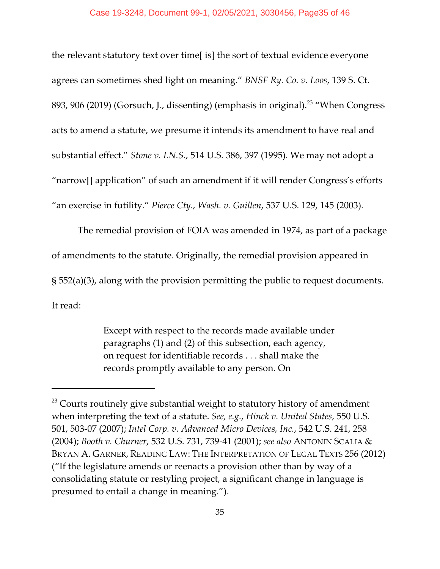the relevant statutory text over time[ is] the sort of textual evidence everyone agrees can sometimes shed light on meaning." *BNSF Ry. Co. v. Loos*, 139 S. Ct. 893, 906 (2019) (Gorsuch, J., dissenting) (emphasis in original).<sup>23</sup> "When Congress acts to amend a statute, we presume it intends its amendment to have real and substantial effect." *Stone v. I.N.S.*, 514 U.S. 386, 397 (1995). We may not adopt a "narrow[] application" of such an amendment if it will render Congress's efforts "an exercise in futility." *Pierce Cty., Wash. v. Guillen*, 537 U.S. 129, 145 (2003).

The remedial provision of FOIA was amended in 1974, as part of a package of amendments to the statute. Originally, the remedial provision appeared in § 552(a)(3), along with the provision permitting the public to request documents. It read:

> Except with respect to the records made available under paragraphs (1) and (2) of this subsection, each agency, on request for identifiable records . . . shall make the records promptly available to any person. On

 $^{23}$  Courts routinely give substantial weight to statutory history of amendment when interpreting the text of a statute. *See, e.g.*, *Hinck v. United States*, 550 U.S. 501, 503-07 (2007); *Intel Corp. v. Advanced Micro Devices, Inc.*, 542 U.S. 241, 258 (2004); *Booth v. Churner*, 532 U.S. 731, 739-41 (2001); *see also* ANTONIN SCALIA & BRYAN A. GARNER, READING LAW: THE INTERPRETATION OF LEGAL TEXTS 256 (2012) ("If the legislature amends or reenacts a provision other than by way of a consolidating statute or restyling project, a significant change in language is presumed to entail a change in meaning.").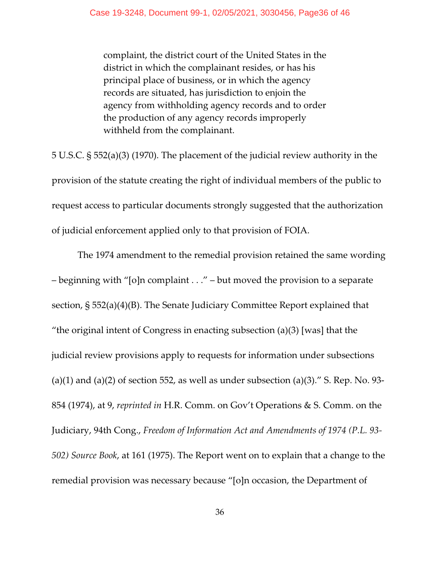complaint, the district court of the United States in the district in which the complainant resides, or has his principal place of business, or in which the agency records are situated, has jurisdiction to enjoin the agency from withholding agency records and to order the production of any agency records improperly withheld from the complainant.

5 U.S.C. § 552(a)(3) (1970). The placement of the judicial review authority in the provision of the statute creating the right of individual members of the public to request access to particular documents strongly suggested that the authorization of judicial enforcement applied only to that provision of FOIA.

The 1974 amendment to the remedial provision retained the same wording – beginning with "[o]n complaint . . ." – but moved the provision to a separate section, § 552(a)(4)(B). The Senate Judiciary Committee Report explained that "the original intent of Congress in enacting subsection (a)(3) [was] that the judicial review provisions apply to requests for information under subsections (a)(1) and (a)(2) of section 552, as well as under subsection (a)(3)." S. Rep. No. 93-854 (1974), at 9, *reprinted in* H.R. Comm. on Gov't Operations & S. Comm. on the Judiciary, 94th Cong., *Freedom of Information Act and Amendments of 1974 (P.L. 93- 502) Source Book*, at 161 (1975). The Report went on to explain that a change to the remedial provision was necessary because "[o]n occasion, the Department of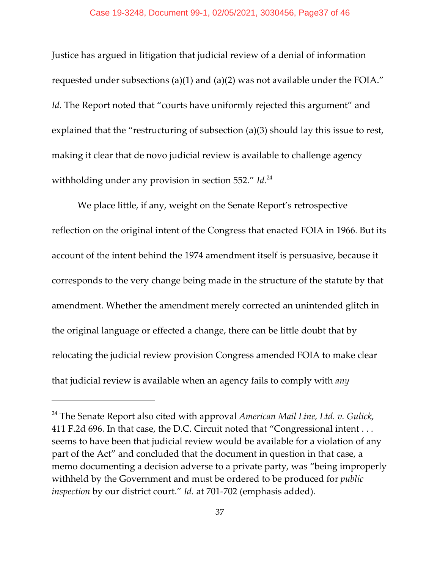Justice has argued in litigation that judicial review of a denial of information requested under subsections (a)(1) and (a)(2) was not available under the FOIA." Id. The Report noted that "courts have uniformly rejected this argument" and explained that the "restructuring of subsection (a)(3) should lay this issue to rest, making it clear that de novo judicial review is available to challenge agency withholding under any provision in section 552." *Id.*<sup>24</sup>

We place little, if any, weight on the Senate Report's retrospective reflection on the original intent of the Congress that enacted FOIA in 1966. But its account of the intent behind the 1974 amendment itself is persuasive, because it corresponds to the very change being made in the structure of the statute by that amendment. Whether the amendment merely corrected an unintended glitch in the original language or effected a change, there can be little doubt that by relocating the judicial review provision Congress amended FOIA to make clear that judicial review is available when an agency fails to comply with *any*

<sup>24</sup> The Senate Report also cited with approval *American Mail Line, Ltd. v. Gulick*, 411 F.2d 696. In that case, the D.C. Circuit noted that "Congressional intent . . . seems to have been that judicial review would be available for a violation of any part of the Act" and concluded that the document in question in that case, a memo documenting a decision adverse to a private party, was "being improperly withheld by the Government and must be ordered to be produced for *public inspection* by our district court." *Id.* at 701-702 (emphasis added).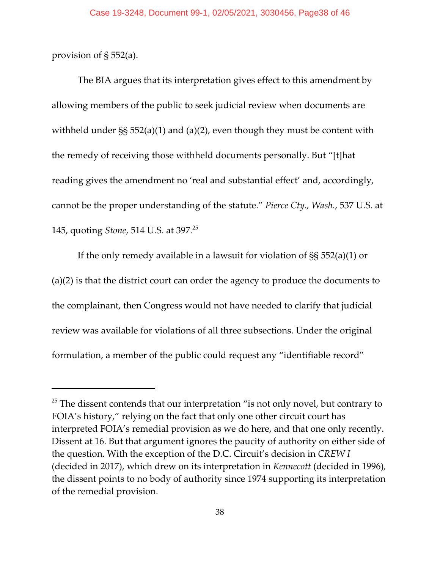provision of § 552(a).

The BIA argues that its interpretation gives effect to this amendment by allowing members of the public to seek judicial review when documents are withheld under SS 552(a)(1) and (a)(2), even though they must be content with the remedy of receiving those withheld documents personally. But "[t]hat reading gives the amendment no 'real and substantial effect' and, accordingly, cannot be the proper understanding of the statute." *Pierce Cty., Wash.*, 537 U.S. at 145, quoting *Stone*, 514 U.S. at 397.<sup>25</sup>

If the only remedy available in a lawsuit for violation of §§ 552(a)(1) or (a)(2) is that the district court can order the agency to produce the documents to the complainant, then Congress would not have needed to clarify that judicial review was available for violations of all three subsections. Under the original formulation, a member of the public could request any "identifiable record"

 $^{25}$  The dissent contends that our interpretation "is not only novel, but contrary to FOIA's history," relying on the fact that only one other circuit court has interpreted FOIA's remedial provision as we do here, and that one only recently. Dissent at 16. But that argument ignores the paucity of authority on either side of the question. With the exception of the D.C. Circuit's decision in *CREW I* (decided in 2017), which drew on its interpretation in *Kennecott* (decided in 1996)*,* the dissent points to no body of authority since 1974 supporting its interpretation of the remedial provision.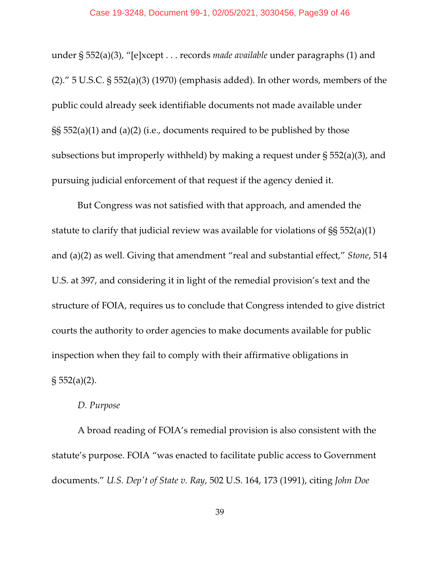#### Case 19-3248, Document 99-1, 02/05/2021, 3030456, Page39 of 46

under § 552(a)(3), "[e]xcept . . . records *made available* under paragraphs (1) and (2)." 5 U.S.C. § 552(a)(3) (1970) (emphasis added). In other words, members of the public could already seek identifiable documents not made available under §§ 552(a)(1) and (a)(2) (i.e., documents required to be published by those subsections but improperly withheld) by making a request under § 552(a)(3), and pursuing judicial enforcement of that request if the agency denied it.

But Congress was not satisfied with that approach, and amended the statute to clarify that judicial review was available for violations of §§ 552(a)(1) and (a)(2) as well. Giving that amendment "real and substantial effect," *Stone*, 514 U.S. at 397, and considering it in light of the remedial provision's text and the structure of FOIA, requires us to conclude that Congress intended to give district courts the authority to order agencies to make documents available for public inspection when they fail to comply with their affirmative obligations in  $\S 552(a)(2)$ .

#### *D. Purpose*

A broad reading of FOIA's remedial provision is also consistent with the statute's purpose. FOIA "was enacted to facilitate public access to Government documents." *U.S. Dep't of State v. Ray*, 502 U.S. 164, 173 (1991), citing *John Doe*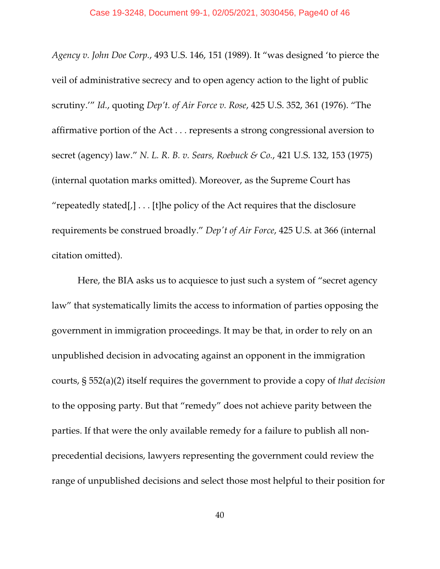*Agency v. John Doe Corp.*, 493 U.S. 146, 151 (1989). It "was designed 'to pierce the veil of administrative secrecy and to open agency action to the light of public scrutiny.'" *Id.*, quoting *Dep't. of Air Force v. Rose*, 425 U.S. 352, 361 (1976). "The affirmative portion of the Act . . . represents a strong congressional aversion to secret (agency) law." *N. L. R. B. v. Sears, Roebuck & Co.*, 421 U.S. 132, 153 (1975) (internal quotation marks omitted). Moreover, as the Supreme Court has "repeatedly stated[ $,$ ]...[t]he policy of the Act requires that the disclosure requirements be construed broadly." *Dep't of Air Force*, 425 U.S. at 366 (internal citation omitted).

Here, the BIA asks us to acquiesce to just such a system of "secret agency law" that systematically limits the access to information of parties opposing the government in immigration proceedings. It may be that, in order to rely on an unpublished decision in advocating against an opponent in the immigration courts, § 552(a)(2) itself requires the government to provide a copy of *that decision* to the opposing party. But that "remedy" does not achieve parity between the parties. If that were the only available remedy for a failure to publish all nonprecedential decisions, lawyers representing the government could review the range of unpublished decisions and select those most helpful to their position for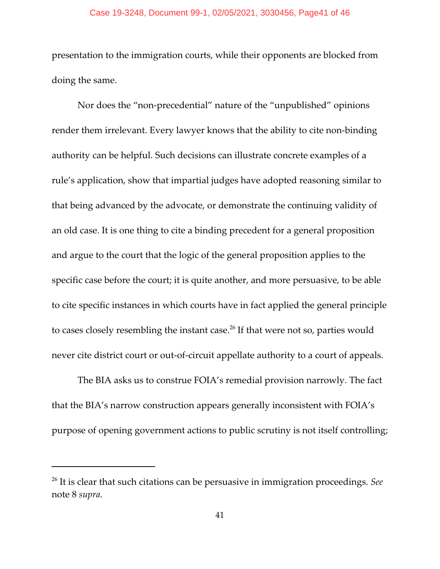#### Case 19-3248, Document 99-1, 02/05/2021, 3030456, Page41 of 46

presentation to the immigration courts, while their opponents are blocked from doing the same.

Nor does the "non-precedential" nature of the "unpublished" opinions render them irrelevant. Every lawyer knows that the ability to cite non-binding authority can be helpful. Such decisions can illustrate concrete examples of a rule's application, show that impartial judges have adopted reasoning similar to that being advanced by the advocate, or demonstrate the continuing validity of an old case. It is one thing to cite a binding precedent for a general proposition and argue to the court that the logic of the general proposition applies to the specific case before the court; it is quite another, and more persuasive, to be able to cite specific instances in which courts have in fact applied the general principle to cases closely resembling the instant case. $^{26}$  If that were not so, parties would never cite district court or out-of-circuit appellate authority to a court of appeals.

The BIA asks us to construe FOIA's remedial provision narrowly. The fact that the BIA's narrow construction appears generally inconsistent with FOIA's purpose of opening government actions to public scrutiny is not itself controlling;

<sup>26</sup> It is clear that such citations can be persuasive in immigration proceedings. *See* note 8 *supra*.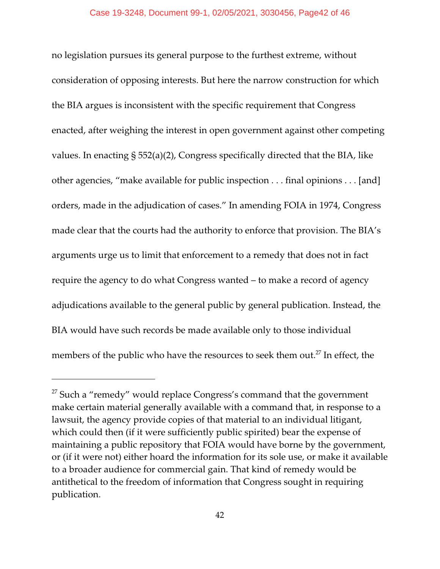no legislation pursues its general purpose to the furthest extreme, without consideration of opposing interests. But here the narrow construction for which the BIA argues is inconsistent with the specific requirement that Congress enacted, after weighing the interest in open government against other competing values. In enacting § 552(a)(2), Congress specifically directed that the BIA, like other agencies, "make available for public inspection . . . final opinions . . . [and] orders, made in the adjudication of cases." In amending FOIA in 1974, Congress made clear that the courts had the authority to enforce that provision. The BIA's arguments urge us to limit that enforcement to a remedy that does not in fact require the agency to do what Congress wanted – to make a record of agency adjudications available to the general public by general publication. Instead, the BIA would have such records be made available only to those individual members of the public who have the resources to seek them out.<sup>27</sup> In effect*,* the

 $^{27}$  Such a "remedy" would replace Congress's command that the government make certain material generally available with a command that, in response to a lawsuit, the agency provide copies of that material to an individual litigant, which could then (if it were sufficiently public spirited) bear the expense of maintaining a public repository that FOIA would have borne by the government, or (if it were not) either hoard the information for its sole use, or make it available to a broader audience for commercial gain. That kind of remedy would be antithetical to the freedom of information that Congress sought in requiring publication.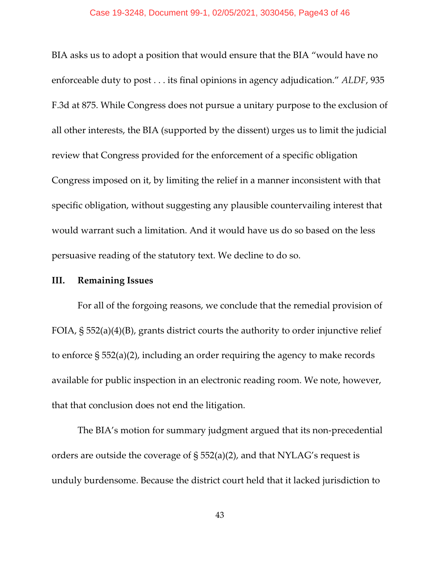#### Case 19-3248, Document 99-1, 02/05/2021, 3030456, Page43 of 46

BIA asks us to adopt a position that would ensure that the BIA "would have no enforceable duty to post . . . its final opinions in agency adjudication." *ALDF*, 935 F.3d at 875. While Congress does not pursue a unitary purpose to the exclusion of all other interests, the BIA (supported by the dissent) urges us to limit the judicial review that Congress provided for the enforcement of a specific obligation Congress imposed on it, by limiting the relief in a manner inconsistent with that specific obligation, without suggesting any plausible countervailing interest that would warrant such a limitation. And it would have us do so based on the less persuasive reading of the statutory text. We decline to do so.

## **III. Remaining Issues**

For all of the forgoing reasons, we conclude that the remedial provision of FOIA, § 552(a)(4)(B), grants district courts the authority to order injunctive relief to enforce § 552(a)(2), including an order requiring the agency to make records available for public inspection in an electronic reading room. We note, however, that that conclusion does not end the litigation.

The BIA's motion for summary judgment argued that its non-precedential orders are outside the coverage of § 552(a)(2), and that NYLAG's request is unduly burdensome. Because the district court held that it lacked jurisdiction to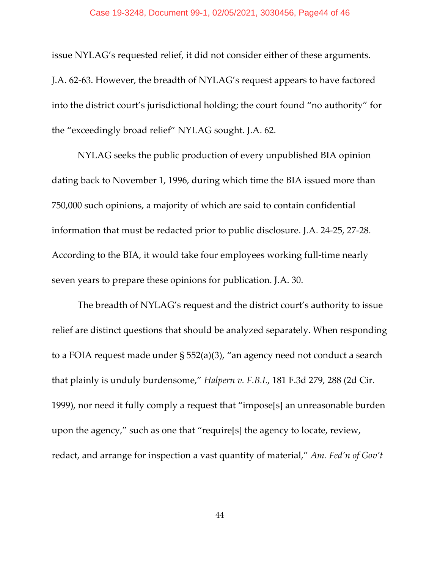#### Case 19-3248, Document 99-1, 02/05/2021, 3030456, Page44 of 46

issue NYLAG's requested relief, it did not consider either of these arguments. J.A. 62-63. However, the breadth of NYLAG's request appears to have factored into the district court's jurisdictional holding; the court found "no authority" for the "exceedingly broad relief" NYLAG sought. J.A. 62.

NYLAG seeks the public production of every unpublished BIA opinion dating back to November 1, 1996, during which time the BIA issued more than 750,000 such opinions, a majority of which are said to contain confidential information that must be redacted prior to public disclosure. J.A. 24-25, 27-28. According to the BIA, it would take four employees working full-time nearly seven years to prepare these opinions for publication. J.A. 30.

The breadth of NYLAG's request and the district court's authority to issue relief are distinct questions that should be analyzed separately. When responding to a FOIA request made under § 552(a)(3), "an agency need not conduct a search that plainly is unduly burdensome," *Halpern v. F.B.I.*, 181 F.3d 279, 288 (2d Cir. 1999), nor need it fully comply a request that "impose[s] an unreasonable burden upon the agency," such as one that "require[s] the agency to locate, review, redact, and arrange for inspection a vast quantity of material," *Am. Fed'n of Gov't*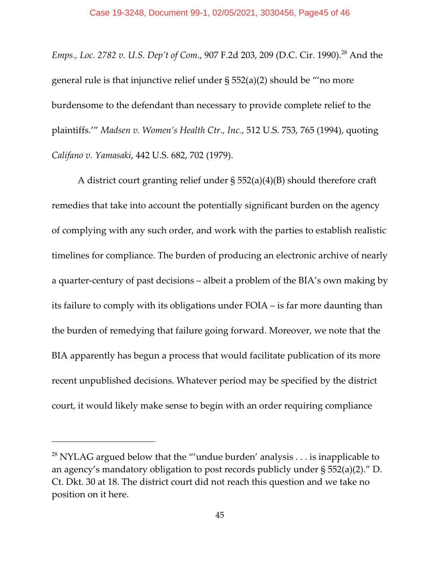E*mps., Loc. 2782 v. U.S. Dep't of Com.,* 907 F.2d 203*,* 209 (D.C. Cir. 1990).<sup>28</sup> And the general rule is that injunctive relief under § 552(a)(2) should be "'no more burdensome to the defendant than necessary to provide complete relief to the plaintiffs.'" *Madsen v. Women's Health Ctr., Inc.*, 512 U.S. 753, 765 (1994), quoting *Califano v. Yamasaki*, 442 U.S. 682, 702 (1979).

A district court granting relief under § 552(a)(4)(B) should therefore craft remedies that take into account the potentially significant burden on the agency of complying with any such order, and work with the parties to establish realistic timelines for compliance. The burden of producing an electronic archive of nearly a quarter-century of past decisions – albeit a problem of the BIA's own making by its failure to comply with its obligations under FOIA – is far more daunting than the burden of remedying that failure going forward. Moreover, we note that the BIA apparently has begun a process that would facilitate publication of its more recent unpublished decisions. Whatever period may be specified by the district court, it would likely make sense to begin with an order requiring compliance

 $^{28}$  NYLAG argued below that the "'undue burden' analysis  $\dots$  is inapplicable to an agency's mandatory obligation to post records publicly under § 552(a)(2)." D. Ct. Dkt. 30 at 18. The district court did not reach this question and we take no position on it here.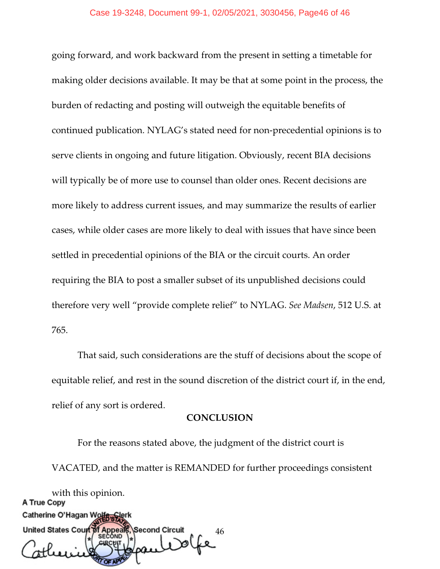going forward, and work backward from the present in setting a timetable for making older decisions available. It may be that at some point in the process, the burden of redacting and posting will outweigh the equitable benefits of continued publication. NYLAG's stated need for non-precedential opinions is to serve clients in ongoing and future litigation. Obviously, recent BIA decisions will typically be of more use to counsel than older ones. Recent decisions are more likely to address current issues, and may summarize the results of earlier cases, while older cases are more likely to deal with issues that have since been settled in precedential opinions of the BIA or the circuit courts. An order requiring the BIA to post a smaller subset of its unpublished decisions could therefore very well "provide complete relief" to NYLAG. *See Madsen*, 512 U.S. at 765.

That said, such considerations are the stuff of decisions about the scope of equitable relief, and rest in the sound discretion of the district court if, in the end, relief of any sort is ordered.

#### **CONCLUSION**

For the reasons stated above, the judgment of the district court is VACATED, and the matter is REMANDED for further proceedings consistent with this opinion.<br>**A True Copy** Catherine O'Hagan Wol

United States Court of Second Circuit f Appeal 46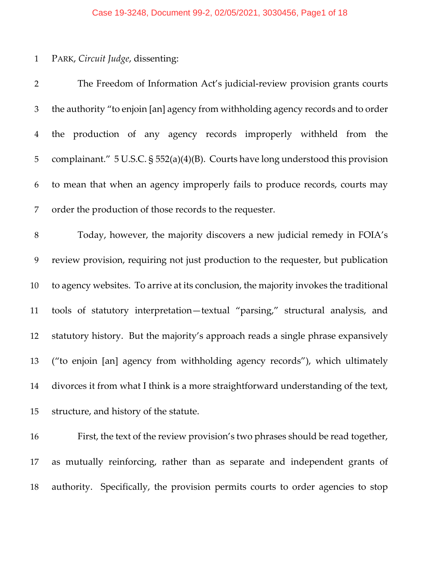## Case 19-3248, Document 99-2, 02/05/2021, 3030456, Page1 of 18

## PARK, *Circuit Judge*, dissenting:

| $\overline{2}$ | The Freedom of Information Act's judicial-review provision grants courts              |
|----------------|---------------------------------------------------------------------------------------|
| 3              | the authority "to enjoin [an] agency from withholding agency records and to order     |
| $\overline{4}$ | the production of any agency records improperly withheld from the                     |
| $\mathbf 5$    | complainant." 5 U.S.C. § 552(a)(4)(B). Courts have long understood this provision     |
| 6              | to mean that when an agency improperly fails to produce records, courts may           |
| 7              | order the production of those records to the requester.                               |
| $\, 8$         | Today, however, the majority discovers a new judicial remedy in FOIA's                |
| 9              | review provision, requiring not just production to the requester, but publication     |
| 10             | to agency websites. To arrive at its conclusion, the majority invokes the traditional |
| 11             | tools of statutory interpretation-textual "parsing," structural analysis, and         |
| 12             | statutory history. But the majority's approach reads a single phrase expansively      |
| 13             | ("to enjoin [an] agency from withholding agency records"), which ultimately           |
| 14             | divorces it from what I think is a more straightforward understanding of the text,    |
| 15             | structure, and history of the statute.                                                |

 First, the text of the review provision's two phrases should be read together, as mutually reinforcing, rather than as separate and independent grants of authority. Specifically, the provision permits courts to order agencies to stop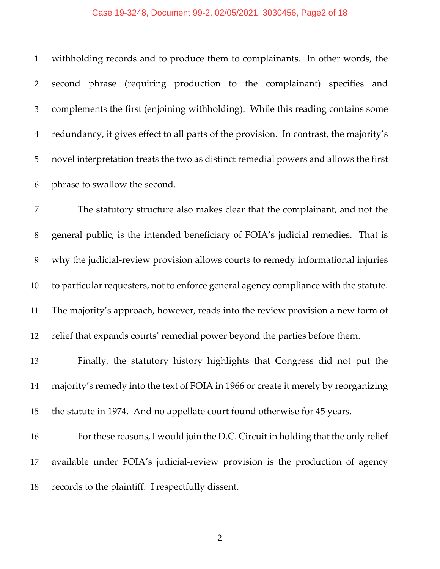#### Case 19-3248, Document 99-2, 02/05/2021, 3030456, Page2 of 18

 withholding records and to produce them to complainants. In other words, the second phrase (requiring production to the complainant) specifies and complements the first (enjoining withholding). While this reading contains some redundancy, it gives effect to all parts of the provision. In contrast, the majority's novel interpretation treats the two as distinct remedial powers and allows the first phrase to swallow the second.

 The statutory structure also makes clear that the complainant, and not the general public, is the intended beneficiary of FOIA's judicial remedies. That is why the judicial-review provision allows courts to remedy informational injuries to particular requesters, not to enforce general agency compliance with the statute. The majority's approach, however, reads into the review provision a new form of relief that expands courts' remedial power beyond the parties before them.

 Finally, the statutory history highlights that Congress did not put the majority's remedy into the text of FOIA in 1966 or create it merely by reorganizing the statute in 1974. And no appellate court found otherwise for 45 years.

 For these reasons, I would join the D.C. Circuit in holding that the only relief available under FOIA's judicial-review provision is the production of agency records to the plaintiff. I respectfully dissent.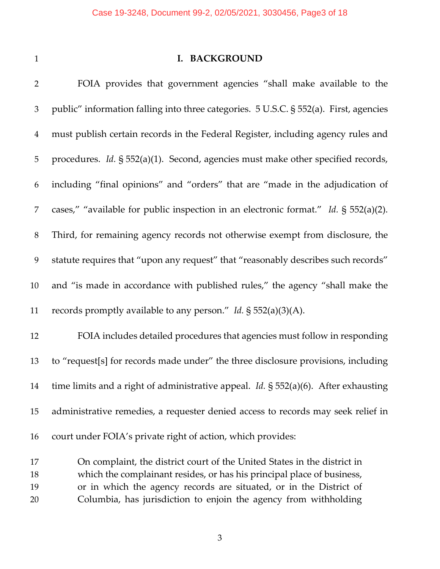## **I. BACKGROUND**

| $\overline{2}$ | FOIA provides that government agencies "shall make available to the                           |
|----------------|-----------------------------------------------------------------------------------------------|
| 3              | public" information falling into three categories. 5 U.S.C. § 552(a). First, agencies         |
| $\overline{4}$ | must publish certain records in the Federal Register, including agency rules and              |
| 5              | procedures. <i>Id.</i> § 552(a)(1). Second, agencies must make other specified records,       |
| 6              | including "final opinions" and "orders" that are "made in the adjudication of                 |
| 7              | cases," "available for public inspection in an electronic format." Id. § 552(a)(2).           |
| 8              | Third, for remaining agency records not otherwise exempt from disclosure, the                 |
| 9              | statute requires that "upon any request" that "reasonably describes such records"             |
| 10             | and "is made in accordance with published rules," the agency "shall make the                  |
| 11             | records promptly available to any person." Id. $\S$ 552(a)(3)(A).                             |
| 12             | FOIA includes detailed procedures that agencies must follow in responding                     |
| 13             | to "request[s] for records made under" the three disclosure provisions, including             |
| 14             | time limits and a right of administrative appeal. <i>Id.</i> $\S$ 552(a)(6). After exhausting |
| 15             | administrative remedies, a requester denied access to records may seek relief in              |
| 16             | court under FOIA's private right of action, which provides:                                   |
|                |                                                                                               |

 On complaint, the district court of the United States in the district in which the complainant resides, or has his principal place of business, or in which the agency records are situated, or in the District of Columbia, has jurisdiction to enjoin the agency from withholding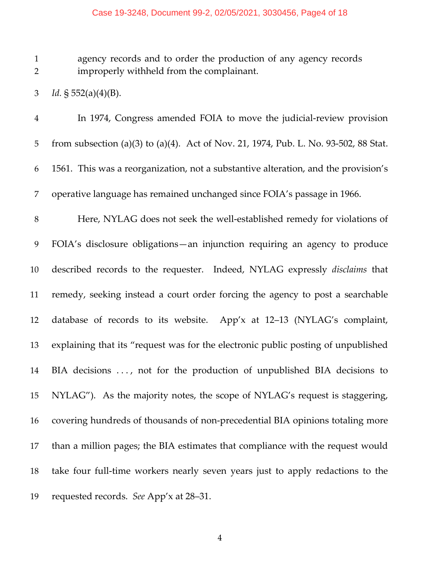#### Case 19-3248, Document 99-2, 02/05/2021, 3030456, Page4 of 18

 agency records and to order the production of any agency records improperly withheld from the complainant.

*Id.* § 552(a)(4)(B).

 In 1974, Congress amended FOIA to move the judicial-review provision from subsection (a)(3) to (a)(4). Act of Nov. 21, 1974, Pub. L. No. 93-502, 88 Stat. 1561. This was a reorganization, not a substantive alteration, and the provision's operative language has remained unchanged since FOIA's passage in 1966.

 Here, NYLAG does not seek the well-established remedy for violations of FOIA's disclosure obligations—an injunction requiring an agency to produce described records to the requester. Indeed, NYLAG expressly *disclaims* that remedy, seeking instead a court order forcing the agency to post a searchable database of records to its website. App'x at 12–13 (NYLAG's complaint, explaining that its "request was for the electronic public posting of unpublished BIA decisions . . . , not for the production of unpublished BIA decisions to NYLAG"). As the majority notes, the scope of NYLAG's request is staggering, covering hundreds of thousands of non-precedential BIA opinions totaling more than a million pages; the BIA estimates that compliance with the request would take four full-time workers nearly seven years just to apply redactions to the requested records. *See* App'x at 28–31.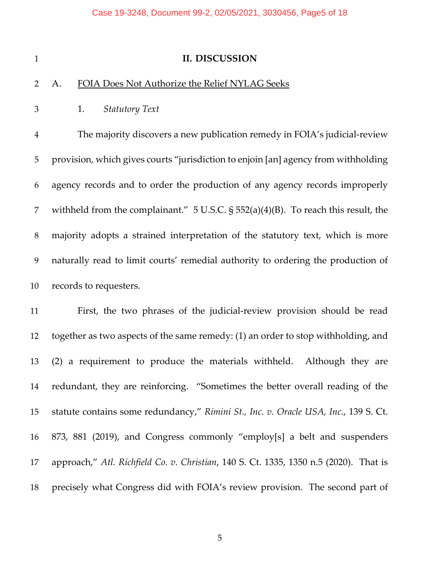#### **II. DISCUSSION**

## A. FOIA Does Not Authorize the Relief NYLAG Seeks

1. *Statutory Text*

 The majority discovers a new publication remedy in FOIA's judicial-review provision, which gives courts "jurisdiction to enjoin [an] agency from withholding agency records and to order the production of any agency records improperly withheld from the complainant." 5 U.S.C. § 552(a)(4)(B). To reach this result, the majority adopts a strained interpretation of the statutory text, which is more naturally read to limit courts' remedial authority to ordering the production of records to requesters.

 First, the two phrases of the judicial-review provision should be read together as two aspects of the same remedy: (1) an order to stop withholding, and (2) a requirement to produce the materials withheld. Although they are redundant, they are reinforcing. "Sometimes the better overall reading of the statute contains some redundancy," *Rimini St., Inc. v. Oracle USA, Inc.*, 139 S. Ct. 873, 881 (2019), and Congress commonly "employ[s] a belt and suspenders approach," *Atl. Richfield Co. v. Christian*, 140 S. Ct. 1335, 1350 n.5 (2020). That is precisely what Congress did with FOIA's review provision. The second part of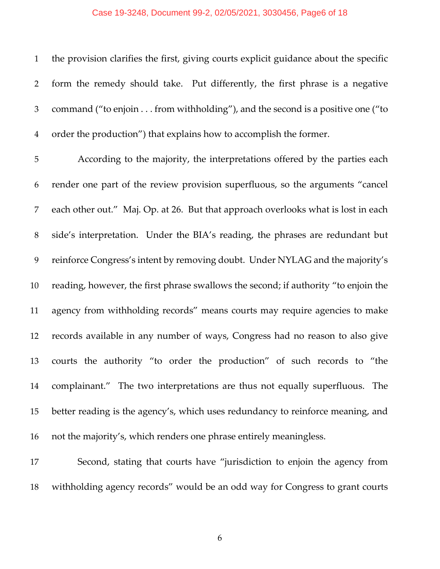#### Case 19-3248, Document 99-2, 02/05/2021, 3030456, Page6 of 18

 the provision clarifies the first, giving courts explicit guidance about the specific form the remedy should take. Put differently, the first phrase is a negative command ("to enjoin . . . from withholding"), and the second is a positive one ("to order the production") that explains how to accomplish the former.

 According to the majority, the interpretations offered by the parties each render one part of the review provision superfluous, so the arguments "cancel each other out." Maj. Op. at 26. But that approach overlooks what is lost in each side's interpretation. Under the BIA's reading, the phrases are redundant but reinforce Congress's intent by removing doubt. Under NYLAG and the majority's reading, however, the first phrase swallows the second; if authority "to enjoin the agency from withholding records" means courts may require agencies to make records available in any number of ways, Congress had no reason to also give courts the authority "to order the production" of such records to "the complainant." The two interpretations are thus not equally superfluous. The better reading is the agency's, which uses redundancy to reinforce meaning, and not the majority's, which renders one phrase entirely meaningless.

 Second, stating that courts have "jurisdiction to enjoin the agency from withholding agency records" would be an odd way for Congress to grant courts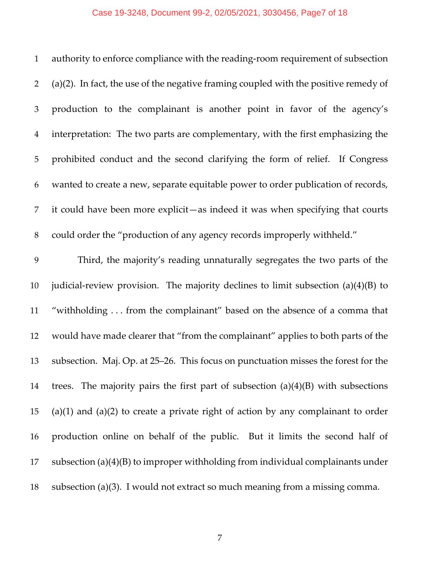# Case 19-3248, Document 99-2, 02/05/2021, 3030456, Page7 of 18

| $\mathbf{1}$   | authority to enforce compliance with the reading-room requirement of subsection         |
|----------------|-----------------------------------------------------------------------------------------|
| 2              | $(a)(2)$ . In fact, the use of the negative framing coupled with the positive remedy of |
| 3              | production to the complainant is another point in favor of the agency's                 |
| $\overline{4}$ | interpretation: The two parts are complementary, with the first emphasizing the         |
| 5              | prohibited conduct and the second clarifying the form of relief. If Congress            |
| 6              | wanted to create a new, separate equitable power to order publication of records,       |
| 7              | it could have been more explicit—as indeed it was when specifying that courts           |
| 8              | could order the "production of any agency records improperly withheld."                 |
| 9              | Third, the majority's reading unnaturally segregates the two parts of the               |
| 10             | judicial-review provision. The majority declines to limit subsection $(a)(4)(B)$ to     |
| 11             | "withholding from the complainant" based on the absence of a comma that                 |
| 12             | would have made clearer that "from the complainant" applies to both parts of the        |
| 13             | subsection. Maj. Op. at 25–26. This focus on punctuation misses the forest for the      |
| 14             | trees. The majority pairs the first part of subsection $(a)(4)(B)$ with subsections     |
| 15             | $(a)(1)$ and $(a)(2)$ to create a private right of action by any complainant to order   |
| 16             | production online on behalf of the public. But it limits the second half of             |
| 17             | subsection (a) $(4)(B)$ to improper withholding from individual complainants under      |
| 18             | subsection (a)(3). I would not extract so much meaning from a missing comma.            |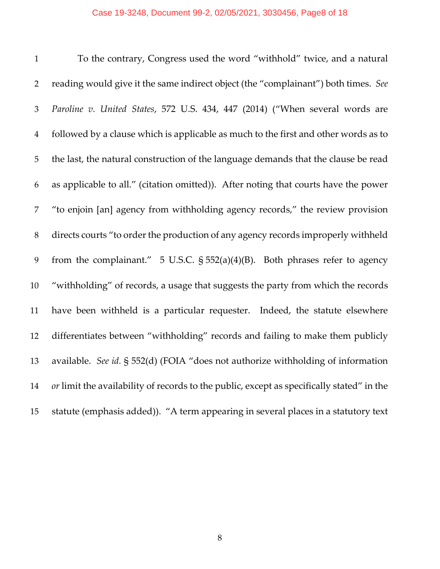#### Case 19-3248, Document 99-2, 02/05/2021, 3030456, Page8 of 18

 To the contrary, Congress used the word "withhold" twice, and a natural reading would give it the same indirect object (the "complainant") both times. *See Paroline v. United States*, 572 U.S. 434, 447 (2014) ("When several words are followed by a clause which is applicable as much to the first and other words as to the last, the natural construction of the language demands that the clause be read as applicable to all." (citation omitted)). After noting that courts have the power "to enjoin [an] agency from withholding agency records," the review provision directs courts "to order the production of any agency records improperly withheld from the complainant." 5 U.S.C. § 552(a)(4)(B). Both phrases refer to agency "withholding" of records, a usage that suggests the party from which the records have been withheld is a particular requester. Indeed, the statute elsewhere differentiates between "withholding" records and failing to make them publicly available. *See id.* § 552(d) (FOIA "does not authorize withholding of information *or* limit the availability of records to the public, except as specifically stated" in the statute (emphasis added)). "A term appearing in several places in a statutory text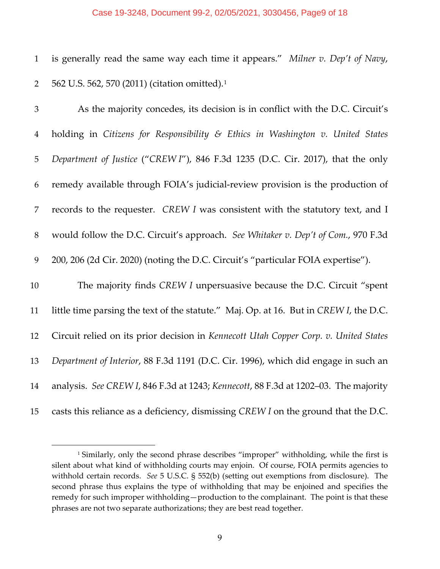#### Case 19-3248, Document 99-2, 02/05/2021, 3030456, Page9 of 18

 is generally read the same way each time it appears." *Milner v. Dep't of Navy*, 2 562 U.S. 562, 570 (20[1](#page-60-0)1) (citation omitted).<sup>1</sup>

| 3              | As the majority concedes, its decision is in conflict with the D.C. Circuit's         |
|----------------|---------------------------------------------------------------------------------------|
| $\overline{4}$ | holding in Citizens for Responsibility & Ethics in Washington v. United States        |
| 5              | Department of Justice ("CREW I"), 846 F.3d 1235 (D.C. Cir. 2017), that the only       |
| 6              | remedy available through FOIA's judicial-review provision is the production of        |
| 7              | records to the requester. CREW I was consistent with the statutory text, and I        |
| $8\,$          | would follow the D.C. Circuit's approach. See Whitaker v. Dep't of Com., 970 F.3d     |
| 9              | 200, 206 (2d Cir. 2020) (noting the D.C. Circuit's "particular FOIA expertise").      |
| 10             | The majority finds CREW I unpersuasive because the D.C. Circuit "spent"               |
| 11             | little time parsing the text of the statute." Maj. Op. at 16. But in CREW I, the D.C. |
| 12             | Circuit relied on its prior decision in Kennecott Utah Copper Corp. v. United States  |
| 13             | Department of Interior, 88 F.3d 1191 (D.C. Cir. 1996), which did engage in such an    |
| 14             | analysis. See CREW I, 846 F.3d at 1243; Kennecott, 88 F.3d at 1202-03. The majority   |
| 15             | casts this reliance as a deficiency, dismissing CREW I on the ground that the D.C.    |

<sup>&</sup>lt;sup>1</sup> Similarly, only the second phrase describes "improper" withholding, while the first is silent about what kind of withholding courts may enjoin. Of course, FOIA permits agencies to withhold certain records. *See* 5 U.S.C. § 552(b) (setting out exemptions from disclosure). The second phrase thus explains the type of withholding that may be enjoined and specifies the remedy for such improper withholding—production to the complainant. The point is that these phrases are not two separate authorizations; they are best read together.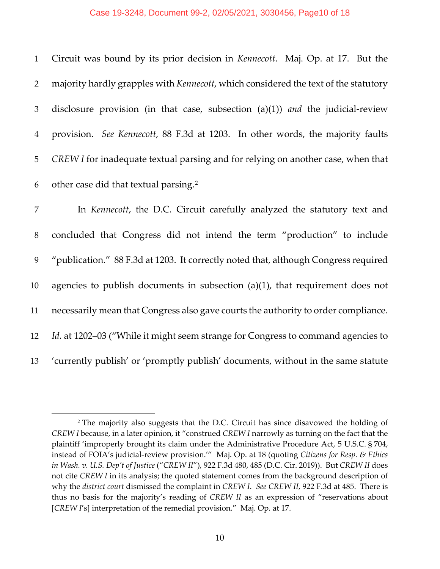#### Case 19-3248, Document 99-2, 02/05/2021, 3030456, Page10 of 18

 Circuit was bound by its prior decision in *Kennecott*. Maj. Op. at 17. But the majority hardly grapples with *Kennecott*, which considered the text of the statutory disclosure provision (in that case, subsection (a)(1)) *and* the judicial-review provision. *See Kennecott*, 88 F.3d at 1203. In other words, the majority faults *CREW I* for inadequate textual parsing and for relying on another case, when that 6 other case did that textual parsing.<sup>[2](#page-60-0)</sup>

 In *Kennecott*, the D.C. Circuit carefully analyzed the statutory text and concluded that Congress did not intend the term "production" to include "publication." 88 F.3d at 1203. It correctly noted that, although Congress required agencies to publish documents in subsection (a)(1), that requirement does not necessarily mean that Congress also gave courts the authority to order compliance. *Id.* at 1202–03 ("While it might seem strange for Congress to command agencies to 'currently publish' or 'promptly publish' documents, without in the same statute

<sup>2</sup> The majority also suggests that the D.C. Circuit has since disavowed the holding of *CREW I* because, in a later opinion, it "construed *CREW I* narrowly as turning on the fact that the plaintiff 'improperly brought its claim under the Administrative Procedure Act, 5 U.S.C. § 704, instead of FOIA's judicial-review provision.'" Maj. Op. at 18 (quoting *Citizens for Resp. & Ethics in Wash. v. U.S. Dep't of Justice* ("*CREW II*"), 922 F.3d 480, 485 (D.C. Cir. 2019)). But *CREW II* does not cite *CREW I* in its analysis; the quoted statement comes from the background description of why the *district court* dismissed the complaint in *CREW I*. *See CREW II*, 922 F.3d at 485. There is thus no basis for the majority's reading of *CREW II* as an expression of "reservations about [*CREW I*'s] interpretation of the remedial provision." Maj. Op. at 17.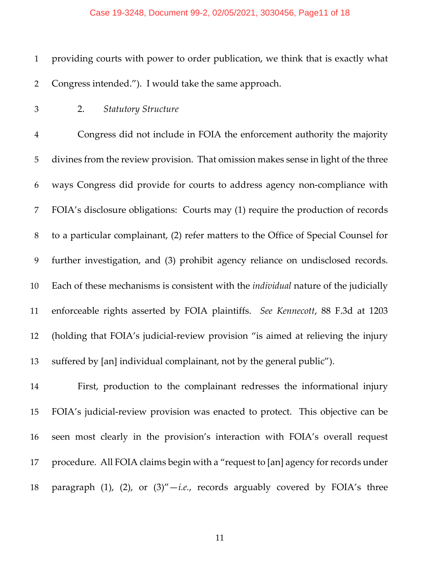providing courts with power to order publication, we think that is exactly what Congress intended."). I would take the same approach.

2. *Statutory Structure*

 Congress did not include in FOIA the enforcement authority the majority divines from the review provision. That omission makes sense in light of the three ways Congress did provide for courts to address agency non-compliance with FOIA's disclosure obligations: Courts may (1) require the production of records to a particular complainant, (2) refer matters to the Office of Special Counsel for further investigation, and (3) prohibit agency reliance on undisclosed records. Each of these mechanisms is consistent with the *individual* nature of the judicially enforceable rights asserted by FOIA plaintiffs. *See Kennecott*, 88 F.3d at 1203 (holding that FOIA's judicial-review provision "is aimed at relieving the injury suffered by [an] individual complainant, not by the general public").

 First, production to the complainant redresses the informational injury FOIA's judicial-review provision was enacted to protect. This objective can be seen most clearly in the provision's interaction with FOIA's overall request procedure. All FOIA claims begin with a "request to [an] agency for records under paragraph (1), (2), or (3)"—*i.e.*, records arguably covered by FOIA's three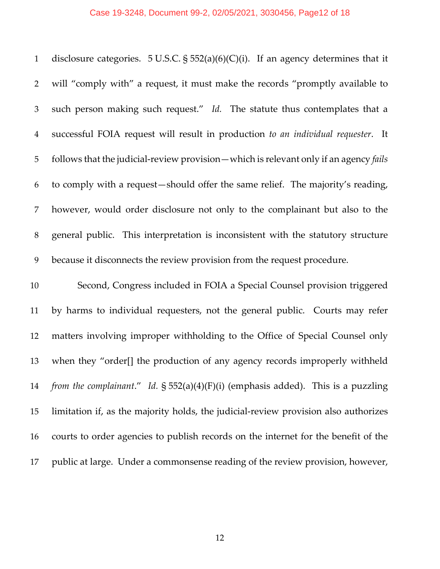disclosure categories. 5 U.S.C. § 552(a)(6)(C)(i). If an agency determines that it will "comply with" a request, it must make the records "promptly available to such person making such request." *Id.* The statute thus contemplates that a successful FOIA request will result in production *to an individual requester*. It follows that the judicial-review provision—which is relevant only if an agency *fails* to comply with a request—should offer the same relief. The majority's reading, however, would order disclosure not only to the complainant but also to the general public. This interpretation is inconsistent with the statutory structure because it disconnects the review provision from the request procedure.

 Second, Congress included in FOIA a Special Counsel provision triggered by harms to individual requesters, not the general public. Courts may refer matters involving improper withholding to the Office of Special Counsel only when they "order[] the production of any agency records improperly withheld *from the complainant*." *Id.* § 552(a)(4)(F)(i) (emphasis added). This is a puzzling limitation if, as the majority holds, the judicial-review provision also authorizes courts to order agencies to publish records on the internet for the benefit of the public at large. Under a commonsense reading of the review provision, however,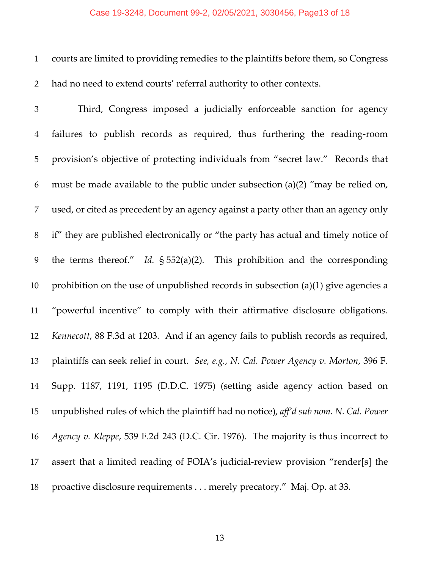#### Case 19-3248, Document 99-2, 02/05/2021, 3030456, Page13 of 18

 courts are limited to providing remedies to the plaintiffs before them, so Congress had no need to extend courts' referral authority to other contexts.

 Third, Congress imposed a judicially enforceable sanction for agency failures to publish records as required, thus furthering the reading-room provision's objective of protecting individuals from "secret law." Records that must be made available to the public under subsection (a)(2) "may be relied on, used, or cited as precedent by an agency against a party other than an agency only if" they are published electronically or "the party has actual and timely notice of the terms thereof." *Id.* § 552(a)(2)*.* This prohibition and the corresponding 10 prohibition on the use of unpublished records in subsection (a)(1) give agencies a "powerful incentive" to comply with their affirmative disclosure obligations. *Kennecott*, 88 F.3d at 1203. And if an agency fails to publish records as required, plaintiffs can seek relief in court. *See, e.g.*, *N. Cal. Power Agency v. Morton*, 396 F. Supp. 1187, 1191, 1195 (D.D.C. 1975) (setting aside agency action based on unpublished rules of which the plaintiff had no notice), *aff'd sub nom. N. Cal. Power Agency v. Kleppe*, 539 F.2d 243 (D.C. Cir. 1976). The majority is thus incorrect to assert that a limited reading of FOIA's judicial-review provision "render[s] the proactive disclosure requirements . . . merely precatory." Maj. Op. at 33.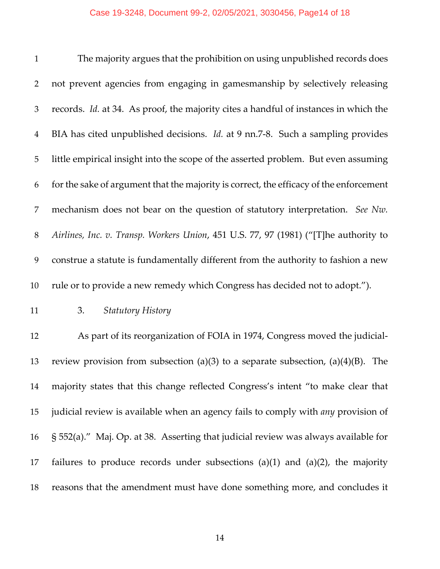### Case 19-3248, Document 99-2, 02/05/2021, 3030456, Page14 of 18

| $\mathbf{1}$   | The majority argues that the prohibition on using unpublished records does                  |
|----------------|---------------------------------------------------------------------------------------------|
| 2              | not prevent agencies from engaging in gamesmanship by selectively releasing                 |
| 3              | records. <i>Id.</i> at 34. As proof, the majority cites a handful of instances in which the |
| $\overline{4}$ | BIA has cited unpublished decisions. <i>Id.</i> at 9 nn.7-8. Such a sampling provides       |
| 5              | little empirical insight into the scope of the asserted problem. But even assuming          |
| 6              | for the sake of argument that the majority is correct, the efficacy of the enforcement      |
| 7              | mechanism does not bear on the question of statutory interpretation. See Nw.                |
| 8              | Airlines, Inc. v. Transp. Workers Union, 451 U.S. 77, 97 (1981) ("[T]he authority to        |
| 9              | construe a statute is fundamentally different from the authority to fashion a new           |
| 10             | rule or to provide a new remedy which Congress has decided not to adopt.").                 |

3. *Statutory History*

 As part of its reorganization of FOIA in 1974, Congress moved the judicial-13 review provision from subsection (a)(3) to a separate subsection, (a)(4)(B). The majority states that this change reflected Congress's intent "to make clear that judicial review is available when an agency fails to comply with *any* provision of § 552(a)." Maj. Op. at 38. Asserting that judicial review was always available for 17 failures to produce records under subsections  $(a)(1)$  and  $(a)(2)$ , the majority reasons that the amendment must have done something more, and concludes it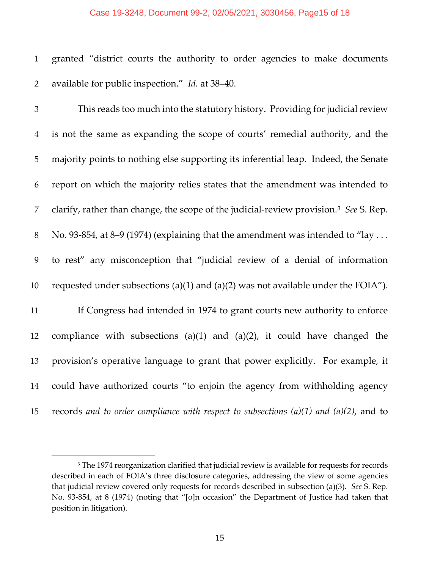#### Case 19-3248, Document 99-2, 02/05/2021, 3030456, Page15 of 18

 granted "district courts the authority to order agencies to make documents available for public inspection." *Id.* at 38–40.

 This reads too much into the statutory history. Providing for judicial review is not the same as expanding the scope of courts' remedial authority, and the majority points to nothing else supporting its inferential leap. Indeed, the Senate report on which the majority relies states that the amendment was intended to clarify, rather than change, the scope of the judicial-review provision.[3](#page-60-0)  *See* S. Rep. 8 No. 93-854, at 8–9 (1974) (explaining that the amendment was intended to "lay ... to rest" any misconception that "judicial review of a denial of information 10 requested under subsections (a)(1) and (a)(2) was not available under the FOIA"). If Congress had intended in 1974 to grant courts new authority to enforce compliance with subsections (a)(1) and (a)(2), it could have changed the provision's operative language to grant that power explicitly. For example, it could have authorized courts "to enjoin the agency from withholding agency records *and to order compliance with respect to subsections (a)(1) and (a)(2)*, and to

<span id="page-60-0"></span><sup>&</sup>lt;sup>3</sup> The 1974 reorganization clarified that judicial review is available for requests for records described in each of FOIA's three disclosure categories, addressing the view of some agencies that judicial review covered only requests for records described in subsection (a)(3). *See* S. Rep. No. 93-854, at 8 (1974) (noting that "[o]n occasion" the Department of Justice had taken that position in litigation).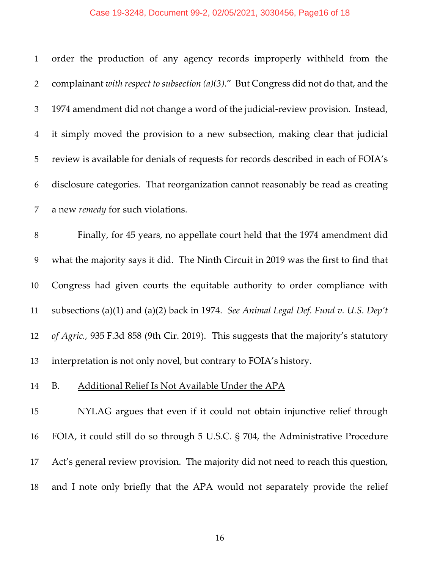## Case 19-3248, Document 99-2, 02/05/2021, 3030456, Page16 of 18

| $\mathbf{1}$   | order the production of any agency records improperly withheld from the               |
|----------------|---------------------------------------------------------------------------------------|
| $\overline{2}$ | complainant with respect to subsection (a)(3)." But Congress did not do that, and the |
| 3              | 1974 amendment did not change a word of the judicial-review provision. Instead,       |
| $\overline{4}$ | it simply moved the provision to a new subsection, making clear that judicial         |
| 5              | review is available for denials of requests for records described in each of FOIA's   |
| 6              | disclosure categories. That reorganization cannot reasonably be read as creating      |
| 7              | a new remedy for such violations.                                                     |
| $\, 8$         | Finally, for 45 years, no appellate court held that the 1974 amendment did            |
| 9              | what the majority says it did. The Ninth Circuit in 2019 was the first to find that   |
| 10             | Congress had given courts the equitable authority to order compliance with            |
| 11             | subsections (a)(1) and (a)(2) back in 1974. See Animal Legal Def. Fund v. U.S. Dep't  |
| 12             | of Agric., 935 F.3d 858 (9th Cir. 2019). This suggests that the majority's statutory  |
| 13             |                                                                                       |
|                | interpretation is not only novel, but contrary to FOIA's history.                     |

 NYLAG argues that even if it could not obtain injunctive relief through FOIA, it could still do so through 5 U.S.C. § 704, the Administrative Procedure Act's general review provision. The majority did not need to reach this question, and I note only briefly that the APA would not separately provide the relief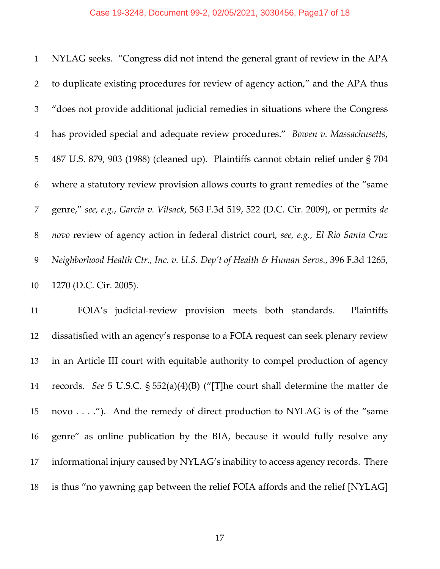#### Case 19-3248, Document 99-2, 02/05/2021, 3030456, Page17 of 18

|                | 1 NYLAG seeks. "Congress did not intend the general grant of review in the APA          |
|----------------|-----------------------------------------------------------------------------------------|
| $\overline{2}$ | to duplicate existing procedures for review of agency action," and the APA thus         |
| 3              | "does not provide additional judicial remedies in situations where the Congress         |
| $\overline{4}$ | has provided special and adequate review procedures." Bowen v. Massachusetts,           |
| 5              | 487 U.S. 879, 903 (1988) (cleaned up). Plaintiffs cannot obtain relief under § 704      |
| 6              | where a statutory review provision allows courts to grant remedies of the "same"        |
| 7              | genre," see, e.g., Garcia v. Vilsack, 563 F.3d 519, 522 (D.C. Cir. 2009), or permits de |
| 8              | novo review of agency action in federal district court, see, e.g., El Rio Santa Cruz    |
| 9              | Neighborhood Health Ctr., Inc. v. U.S. Dep't of Health & Human Servs., 396 F.3d 1265,   |
| 10             | 1270 (D.C. Cir. 2005).                                                                  |

 FOIA's judicial-review provision meets both standards. Plaintiffs dissatisfied with an agency's response to a FOIA request can seek plenary review in an Article III court with equitable authority to compel production of agency records. *See* 5 U.S.C. § 552(a)(4)(B) ("[T]he court shall determine the matter de novo . . . ."). And the remedy of direct production to NYLAG is of the "same genre" as online publication by the BIA, because it would fully resolve any informational injury caused by NYLAG's inability to access agency records. There is thus "no yawning gap between the relief FOIA affords and the relief [NYLAG]